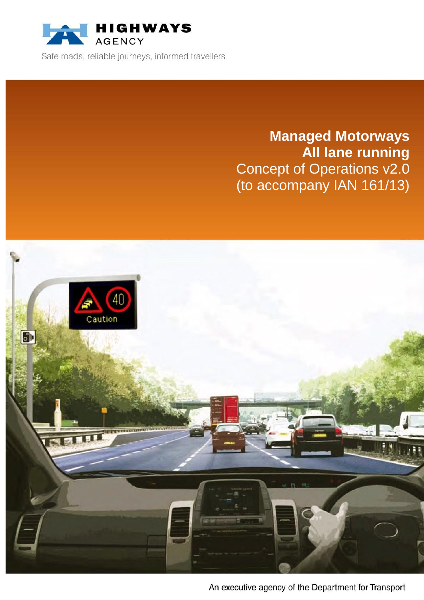

Safe roads, reliable journeys, informed travellers

# **Managed Motorways All lane running** Concept of Operations v2.0 (to accompany IAN 161/13)



An executive agency of the Department for Transport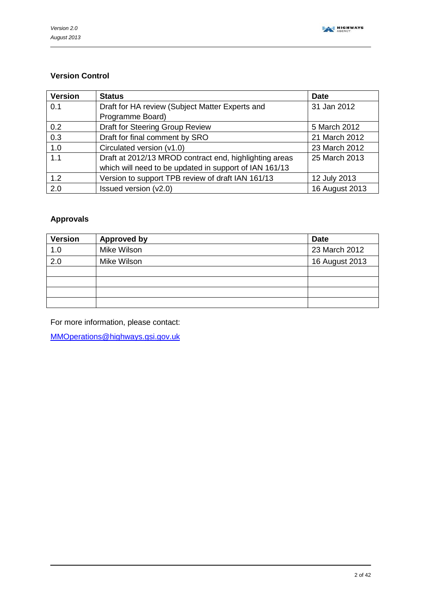

# **Version Control**

| <b>Version</b> | <b>Status</b>                                          | <b>Date</b>    |
|----------------|--------------------------------------------------------|----------------|
| 0.1            | Draft for HA review (Subject Matter Experts and        | 31 Jan 2012    |
|                | Programme Board)                                       |                |
| 0.2            | Draft for Steering Group Review                        | 5 March 2012   |
| 0.3            | Draft for final comment by SRO                         | 21 March 2012  |
| 1.0            | Circulated version (v1.0)                              | 23 March 2012  |
| 1.1            | Draft at 2012/13 MROD contract end, highlighting areas | 25 March 2013  |
|                | which will need to be updated in support of IAN 161/13 |                |
| 1.2            | Version to support TPB review of draft IAN 161/13      | 12 July 2013   |
| 2.0            | Issued version (v2.0)                                  | 16 August 2013 |

# **Approvals**

| <b>Version</b>   | <b>Approved by</b> | <b>Date</b>    |
|------------------|--------------------|----------------|
| 1.0              | Mike Wilson        | 23 March 2012  |
| $\overline{2.0}$ | Mike Wilson        | 16 August 2013 |
|                  |                    |                |
|                  |                    |                |
|                  |                    |                |
|                  |                    |                |

For more information, please contact:

[MMOperations@highways.gsi.gov.uk](mailto:MMOperations@highways.gsi.gov.uk)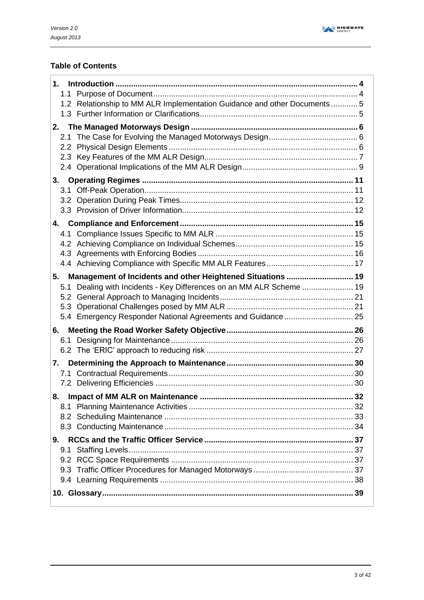

# **Table of Contents**

| 1.  |                                                                           |    |
|-----|---------------------------------------------------------------------------|----|
|     |                                                                           |    |
|     | 1.2 Relationship to MM ALR Implementation Guidance and other Documents  5 |    |
|     |                                                                           |    |
| 2.  |                                                                           |    |
| 2.1 |                                                                           |    |
|     |                                                                           |    |
|     |                                                                           |    |
|     |                                                                           |    |
|     |                                                                           |    |
| 3.  |                                                                           |    |
|     |                                                                           |    |
|     |                                                                           |    |
|     |                                                                           |    |
|     |                                                                           |    |
|     |                                                                           |    |
|     |                                                                           |    |
|     |                                                                           |    |
|     |                                                                           |    |
| 5.  | Management of Incidents and other Heightened Situations  19               |    |
| 5.1 | Dealing with Incidents - Key Differences on an MM ALR Scheme  19          |    |
| 5.2 |                                                                           |    |
|     |                                                                           |    |
|     | 5.4 Emergency Responder National Agreements and Guidance 25               |    |
| 6.  |                                                                           |    |
| 6.1 |                                                                           |    |
|     |                                                                           |    |
| 7.  |                                                                           |    |
|     |                                                                           |    |
|     |                                                                           |    |
|     |                                                                           |    |
|     | 8. Impact of MM ALR on Maintenance.                                       | 32 |
|     |                                                                           |    |
|     |                                                                           |    |
|     |                                                                           |    |
| 9.  |                                                                           |    |
|     |                                                                           |    |
|     |                                                                           |    |
|     |                                                                           |    |
|     |                                                                           |    |
|     |                                                                           |    |
|     |                                                                           |    |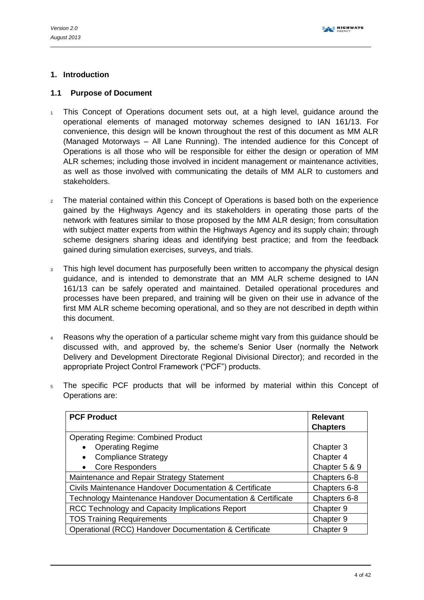# <span id="page-3-0"></span>**1. Introduction**

#### <span id="page-3-1"></span>**1.1 Purpose of Document**

- <sup>1</sup> This Concept of Operations document sets out, at a high level, guidance around the operational elements of managed motorway schemes designed to IAN 161/13. For convenience, this design will be known throughout the rest of this document as MM ALR (Managed Motorways – All Lane Running). The intended audience for this Concept of Operations is all those who will be responsible for either the design or operation of MM ALR schemes; including those involved in incident management or maintenance activities, as well as those involved with communicating the details of MM ALR to customers and stakeholders.
- <sup>2</sup> The material contained within this Concept of Operations is based both on the experience gained by the Highways Agency and its stakeholders in operating those parts of the network with features similar to those proposed by the MM ALR design; from consultation with subject matter experts from within the Highways Agency and its supply chain; through scheme designers sharing ideas and identifying best practice; and from the feedback gained during simulation exercises, surveys, and trials.
- 3 This high level document has purposefully been written to accompany the physical design guidance, and is intended to demonstrate that an MM ALR scheme designed to IAN 161/13 can be safely operated and maintained. Detailed operational procedures and processes have been prepared, and training will be given on their use in advance of the first MM ALR scheme becoming operational, and so they are not described in depth within this document.
- <sup>4</sup> Reasons why the operation of a particular scheme might vary from this guidance should be discussed with, and approved by, the scheme's Senior User (normally the Network Delivery and Development Directorate Regional Divisional Director); and recorded in the appropriate Project Control Framework ("PCF") products.
- <sup>5</sup> The specific PCF products that will be informed by material within this Concept of Operations are:

| <b>PCF Product</b>                                          | <b>Relevant</b><br><b>Chapters</b> |
|-------------------------------------------------------------|------------------------------------|
| <b>Operating Regime: Combined Product</b>                   |                                    |
| <b>Operating Regime</b>                                     | Chapter 3                          |
| <b>Compliance Strategy</b>                                  | Chapter 4                          |
| <b>Core Responders</b>                                      | Chapter 5 & 9                      |
| Maintenance and Repair Strategy Statement                   | Chapters 6-8                       |
| Civils Maintenance Handover Documentation & Certificate     | Chapters 6-8                       |
| Technology Maintenance Handover Documentation & Certificate | Chapters 6-8                       |
| RCC Technology and Capacity Implications Report             | Chapter 9                          |
| <b>TOS Training Requirements</b>                            | Chapter 9                          |
| Operational (RCC) Handover Documentation & Certificate      | Chapter 9                          |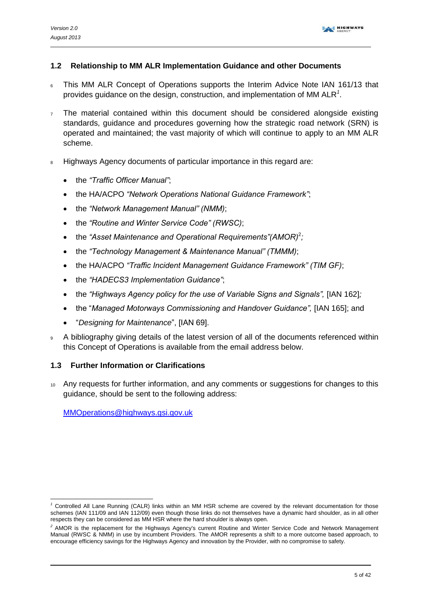# <span id="page-4-0"></span>**1.2 Relationship to MM ALR Implementation Guidance and other Documents**

- <sup>6</sup> This MM ALR Concept of Operations supports the Interim Advice Note IAN 161/13 that provides guidance on the design, construction, and implementation of MM ALR*<sup>1</sup>* .
- <sup>7</sup> The material contained within this document should be considered alongside existing standards, guidance and procedures governing how the strategic road network (SRN) is operated and maintained; the vast majority of which will continue to apply to an MM ALR scheme.
- 8 Highways Agency documents of particular importance in this regard are:
	- the *"Traffic Officer Manual"*;
	- the HA/ACPO *"Network Operations National Guidance Framework"*;
	- the *"Network Management Manual" (NMM)*;
	- the *"Routine and Winter Service Code" (RWSC)*;
	- the "Asset Maintenance and Operational Requirements"(AMOR)<sup>2</sup>;
	- the *"Technology Management & Maintenance Manual" (TMMM)*;
	- the HA/ACPO *"Traffic Incident Management Guidance Framework" (TIM GF)*;
	- the *"HADECS3 Implementation Guidance"*;
	- the *"Highways Agency policy for the use of Variable Signs and Signals",* [IAN 162];
	- the "*Managed Motorways Commissioning and Handover Guidance",* [IAN 165]; and
	- "*Designing for Maintenance*", [IAN 69].
- <sup>9</sup> A bibliography giving details of the latest version of all of the documents referenced within this Concept of Operations is available from the email address below.

# <span id="page-4-1"></span>**1.3 Further Information or Clarifications**

10 Any requests for further information, and any comments or suggestions for changes to this guidance, should be sent to the following address:

[MMOperations@highways.gsi.gov.uk](mailto:MMOperations@highways.gsi.gov.uk)

 $\overline{a}$ *<sup>1</sup>* Controlled All Lane Running (CALR) links within an MM HSR scheme are covered by the relevant documentation for those schemes (IAN 111/09 and IAN 112/09) even though those links do not themselves have a dynamic hard shoulder, as in all other respects they can be considered as MM HSR where the hard shoulder is always open.

*<sup>2</sup>* AMOR is the replacement for the Highways Agency's current Routine and Winter Service Code and Network Management Manual (RWSC & NMM) in use by incumbent Providers. The AMOR represents a shift to a more outcome based approach, to encourage efficiency savings for the Highways Agency and innovation by the Provider, with no compromise to safety.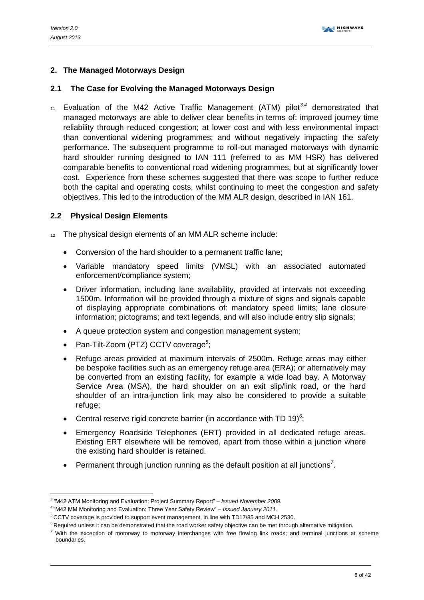$\overline{a}$ 

# <span id="page-5-0"></span>**2. The Managed Motorways Design**

#### <span id="page-5-1"></span>**2.1 The Case for Evolving the Managed Motorways Design**

<sup>11</sup> Evaluation of the M42 Active Traffic Management (ATM) pilot*3,4* demonstrated that managed motorways are able to deliver clear benefits in terms of: improved journey time reliability through reduced congestion; at lower cost and with less environmental impact than conventional widening programmes; and without negatively impacting the safety performance. The subsequent programme to roll-out managed motorways with dynamic hard shoulder running designed to IAN 111 (referred to as MM HSR) has delivered comparable benefits to conventional road widening programmes, but at significantly lower cost. Experience from these schemes suggested that there was scope to further reduce both the capital and operating costs, whilst continuing to meet the congestion and safety objectives. This led to the introduction of the MM ALR design, described in IAN 161.

# <span id="page-5-2"></span>**2.2 Physical Design Elements**

- 12 The physical design elements of an MM ALR scheme include:
	- Conversion of the hard shoulder to a permanent traffic lane;
	- Variable mandatory speed limits (VMSL) with an associated automated enforcement/compliance system;
	- Driver information, including lane availability, provided at intervals not exceeding 1500m. Information will be provided through a mixture of signs and signals capable of displaying appropriate combinations of: mandatory speed limits; lane closure information; pictograms; and text legends, and will also include entry slip signals;
	- A queue protection system and congestion management system;
	- Pan-Tilt-Zoom (PTZ) CCTV coverage*<sup>5</sup>* ;
	- Refuge areas provided at maximum intervals of 2500m. Refuge areas may either be bespoke facilities such as an emergency refuge area (ERA); or alternatively may be converted from an existing facility, for example a wide load bay. A Motorway Service Area (MSA), the hard shoulder on an exit slip/link road, or the hard shoulder of an intra-junction link may also be considered to provide a suitable refuge;
	- Central reserve rigid concrete barrier (in accordance with TD 19)<sup>6</sup>;
	- Emergency Roadside Telephones (ERT) provided in all dedicated refuge areas. Existing ERT elsewhere will be removed, apart from those within a junction where the existing hard shoulder is retained.
	- Permanent through junction running as the default position at all junctions*<sup>7</sup>* .

*<sup>3</sup> "*M42 ATM Monitoring and Evaluation: Project Summary Report" *– Issued November 2009.*

*<sup>4</sup>* "M42 MM Monitoring and Evaluation: Three Year Safety Review" *– Issued January 2011.*

*<sup>5</sup>* CCTV coverage is provided to support event management, in line with TD17/85 and MCH 2530.

 $6$  Required unless it can be demonstrated that the road worker safety objective can be met through alternative mitigation.

<sup>&</sup>lt;sup>7</sup> With the exception of motorway to motorway interchanges with free flowing link roads; and terminal junctions at scheme boundaries.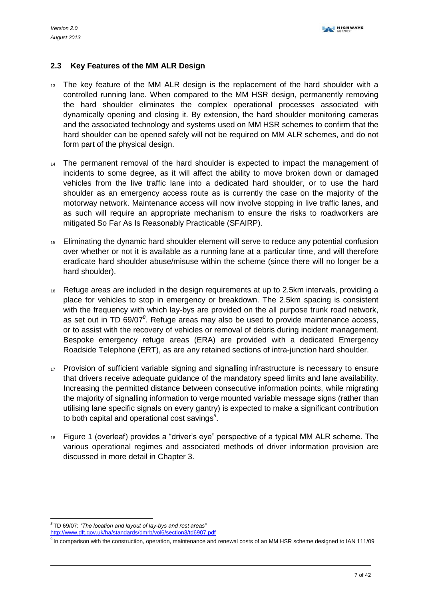# <span id="page-6-0"></span>**2.3 Key Features of the MM ALR Design**

- <sup>13</sup> The key feature of the MM ALR design is the replacement of the hard shoulder with a controlled running lane. When compared to the MM HSR design, permanently removing the hard shoulder eliminates the complex operational processes associated with dynamically opening and closing it. By extension, the hard shoulder monitoring cameras and the associated technology and systems used on MM HSR schemes to confirm that the hard shoulder can be opened safely will not be required on MM ALR schemes, and do not form part of the physical design.
- <sup>14</sup> The permanent removal of the hard shoulder is expected to impact the management of incidents to some degree, as it will affect the ability to move broken down or damaged vehicles from the live traffic lane into a dedicated hard shoulder, or to use the hard shoulder as an emergency access route as is currently the case on the majority of the motorway network. Maintenance access will now involve stopping in live traffic lanes, and as such will require an appropriate mechanism to ensure the risks to roadworkers are mitigated So Far As Is Reasonably Practicable (SFAIRP).
- <sup>15</sup> Eliminating the dynamic hard shoulder element will serve to reduce any potential confusion over whether or not it is available as a running lane at a particular time, and will therefore eradicate hard shoulder abuse/misuse within the scheme (since there will no longer be a hard shoulder).
- <sup>16</sup> Refuge areas are included in the design requirements at up to 2.5km intervals, providing a place for vehicles to stop in emergency or breakdown. The 2.5km spacing is consistent with the frequency with which lay-bys are provided on the all purpose trunk road network, as set out in TD 69/07<sup>8</sup>. Refuge areas may also be used to provide maintenance access, or to assist with the recovery of vehicles or removal of debris during incident management. Bespoke emergency refuge areas (ERA) are provided with a dedicated Emergency Roadside Telephone (ERT), as are any retained sections of intra-junction hard shoulder.
- 17 Provision of sufficient variable signing and signalling infrastructure is necessary to ensure that drivers receive adequate guidance of the mandatory speed limits and lane availability. Increasing the permitted distance between consecutive information points, while migrating the majority of signalling information to verge mounted variable message signs (rather than utilising lane specific signals on every gantry) is expected to make a significant contribution to both capital and operational cost savings*<sup>9</sup>* .
- <sup>18</sup> Figure [1](#page-7-0) (overleaf) provides a "driver's eye" perspective of a typical MM ALR scheme. The various operational regimes and associated methods of driver information provision are discussed in more detail in Chapter [3.](#page-10-0)

*<sup>8</sup>* TD 69/07: *"The location and layout of lay-bys and rest areas*"

<http://www.dft.gov.uk/ha/standards/dmrb/vol6/section3/td6907.pdf>

<sup>&</sup>lt;sup>9</sup> In comparison with the construction, operation, maintenance and renewal costs of an MM HSR scheme designed to IAN 111/09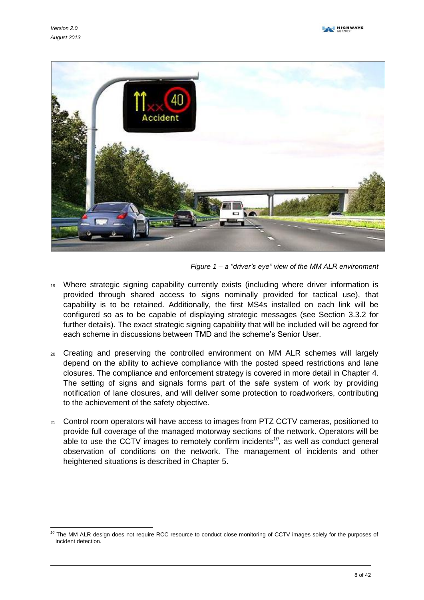



*Figure 1 – a "driver's eye" view of the MM ALR environment*

- <span id="page-7-0"></span><sup>19</sup> Where strategic signing capability currently exists (including where driver information is provided through shared access to signs nominally provided for tactical use), that capability is to be retained. Additionally, the first MS4s installed on each link will be configured so as to be capable of displaying strategic messages (see Section [3.3.2](#page-12-0) for further details). The exact strategic signing capability that will be included will be agreed for each scheme in discussions between TMD and the scheme's Senior User.
- <sup>20</sup> Creating and preserving the controlled environment on MM ALR schemes will largely depend on the ability to achieve compliance with the posted speed restrictions and lane closures. The compliance and enforcement strategy is covered in more detail in Chapter [4.](#page-14-0) The setting of signs and signals forms part of the safe system of work by providing notification of lane closures, and will deliver some protection to roadworkers, contributing to the achievement of the safety objective.
- $21$  Control room operators will have access to images from PTZ CCTV cameras, positioned to provide full coverage of the managed motorway sections of the network. Operators will be able to use the CCTV images to remotely confirm incidents*<sup>10</sup>* , as well as conduct general observation of conditions on the network. The management of incidents and other heightened situations is described in Chapter [5.](#page-18-0)

*<sup>10</sup>* The MM ALR design does not require RCC resource to conduct close monitoring of CCTV images solely for the purposes of incident detection.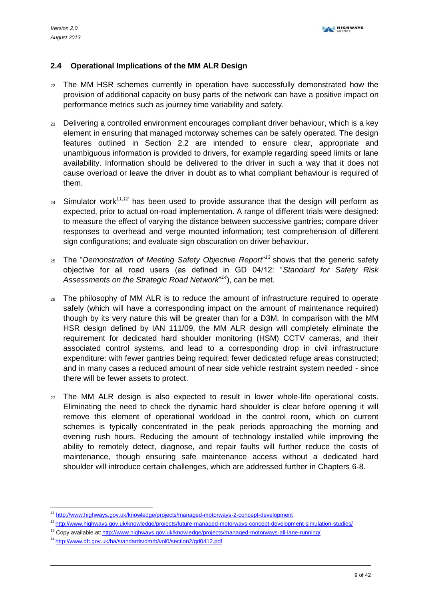# <span id="page-8-0"></span>**2.4 Operational Implications of the MM ALR Design**

- <sup>22</sup> The MM HSR schemes currently in operation have successfully demonstrated how the provision of additional capacity on busy parts of the network can have a positive impact on performance metrics such as journey time variability and safety.
- <sup>23</sup> Delivering a controlled environment encourages compliant driver behaviour, which is a key element in ensuring that managed motorway schemes can be safely operated. The design features outlined in Section [2.2](#page-5-2) are intended to ensure clear, appropriate and unambiguous information is provided to drivers, for example regarding speed limits or lane availability. Information should be delivered to the driver in such a way that it does not cause overload or leave the driver in doubt as to what compliant behaviour is required of them.
- $24$  Simulator work<sup>11,12</sup> has been used to provide assurance that the design will perform as expected, prior to actual on-road implementation. A range of different trials were designed: to measure the effect of varying the distance between successive gantries; compare driver responses to overhead and verge mounted information; test comprehension of different sign configurations; and evaluate sign obscuration on driver behaviour.
- <sup>25</sup> The "*Demonstration of Meeting Safety Objective Report*" *<sup>13</sup>* shows that the generic safety objective for all road users (as defined in GD 04/12: "*Standard for Safety Risk Assessments on the Strategic Road Network*" *<sup>14</sup>*), can be met.
- <sup>26</sup> The philosophy of MM ALR is to reduce the amount of infrastructure required to operate safely (which will have a corresponding impact on the amount of maintenance required) though by its very nature this will be greater than for a D3M. In comparison with the MM HSR design defined by IAN 111/09, the MM ALR design will completely eliminate the requirement for dedicated hard shoulder monitoring (HSM) CCTV cameras, and their associated control systems, and lead to a corresponding drop in civil infrastructure expenditure: with fewer gantries being required; fewer dedicated refuge areas constructed; and in many cases a reduced amount of near side vehicle restraint system needed - since there will be fewer assets to protect.
- $27$  The MM ALR design is also expected to result in lower whole-life operational costs. Eliminating the need to check the dynamic hard shoulder is clear before opening it will remove this element of operational workload in the control room, which on current schemes is typically concentrated in the peak periods approaching the morning and evening rush hours. Reducing the amount of technology installed while improving the ability to remotely detect, diagnose, and repair faults will further reduce the costs of maintenance, though ensuring safe maintenance access without a dedicated hard shoulder will introduce certain challenges, which are addressed further in Chapters [6-](#page-25-0)[8.](#page-31-0)

*<sup>11</sup>* <http://www.highways.gov.uk/knowledge/projects/managed-motorways-2-concept-development>

<sup>&</sup>lt;sup>12</sup> <http://www.highways.gov.uk/knowledge/projects/future-managed-motorways-concept-development-simulation-studies/>

<sup>&</sup>lt;sup>13</sup> Copy available at: <http://www.highways.gov.uk/knowledge/projects/managed-motorways-all-lane-running/>

<sup>14</sup> <http://www.dft.gov.uk/ha/standards/dmrb/vol0/section2/gd0412.pdf>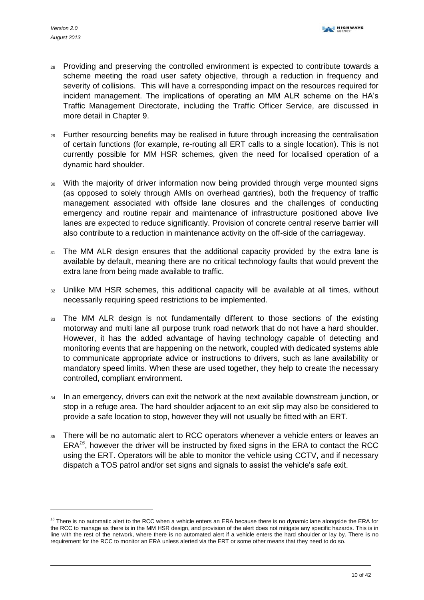- <sup>28</sup> Providing and preserving the controlled environment is expected to contribute towards a scheme meeting the road user safety objective, through a reduction in frequency and severity of collisions. This will have a corresponding impact on the resources required for incident management. The implications of operating an MM ALR scheme on the HA's Traffic Management Directorate, including the Traffic Officer Service, are discussed in more detail in Chapter [9.](#page-36-0)
- <sup>29</sup> Further resourcing benefits may be realised in future through increasing the centralisation of certain functions (for example, re-routing all ERT calls to a single location). This is not currently possible for MM HSR schemes, given the need for localised operation of a dynamic hard shoulder.
- 30 With the majority of driver information now being provided through verge mounted signs (as opposed to solely through AMIs on overhead gantries), both the frequency of traffic management associated with offside lane closures and the challenges of conducting emergency and routine repair and maintenance of infrastructure positioned above live lanes are expected to reduce significantly. Provision of concrete central reserve barrier will also contribute to a reduction in maintenance activity on the off-side of the carriageway.
- 31 The MM ALR design ensures that the additional capacity provided by the extra lane is available by default, meaning there are no critical technology faults that would prevent the extra lane from being made available to traffic.
- <sup>32</sup> Unlike MM HSR schemes, this additional capacity will be available at all times, without necessarily requiring speed restrictions to be implemented.
- <sup>33</sup> The MM ALR design is not fundamentally different to those sections of the existing motorway and multi lane all purpose trunk road network that do not have a hard shoulder. However, it has the added advantage of having technology capable of detecting and monitoring events that are happening on the network, coupled with dedicated systems able to communicate appropriate advice or instructions to drivers, such as lane availability or mandatory speed limits. When these are used together, they help to create the necessary controlled, compliant environment.
- <sup>34</sup> In an emergency, drivers can exit the network at the next available downstream junction, or stop in a refuge area. The hard shoulder adjacent to an exit slip may also be considered to provide a safe location to stop, however they will not usually be fitted with an ERT.
- 35 There will be no automatic alert to RCC operators whenever a vehicle enters or leaves an ERA*<sup>15</sup>*, however the driver will be instructed by fixed signs in the ERA to contact the RCC using the ERT. Operators will be able to monitor the vehicle using CCTV, and if necessary dispatch a TOS patrol and/or set signs and signals to assist the vehicle's safe exit.

*<sup>15</sup>* There is no automatic alert to the RCC when a vehicle enters an ERA because there is no dynamic lane alongside the ERA for the RCC to manage as there is in the MM HSR design, and provision of the alert does not mitigate any specific hazards. This is in line with the rest of the network, where there is no automated alert if a vehicle enters the hard shoulder or lay by. There is no requirement for the RCC to monitor an ERA unless alerted via the ERT or some other means that they need to do so.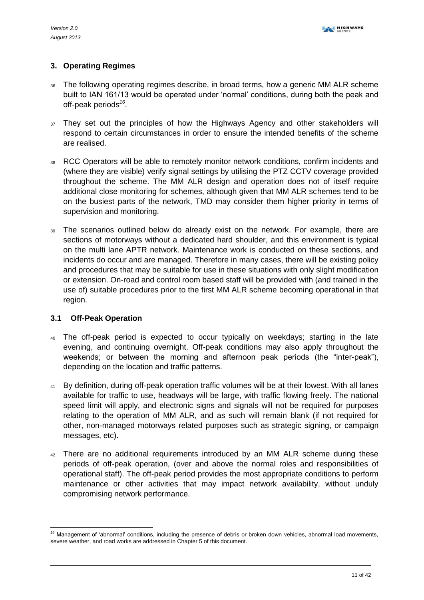# <span id="page-10-0"></span>**3. Operating Regimes**

- <sup>36</sup> The following operating regimes describe, in broad terms, how a generic MM ALR scheme built to IAN 161/13 would be operated under 'normal' conditions, during both the peak and off-peak periods*<sup>16</sup>* .
- 37 They set out the principles of how the Highways Agency and other stakeholders will respond to certain circumstances in order to ensure the intended benefits of the scheme are realised.
- <sup>38</sup> RCC Operators will be able to remotely monitor network conditions, confirm incidents and (where they are visible) verify signal settings by utilising the PTZ CCTV coverage provided throughout the scheme. The MM ALR design and operation does not of itself require additional close monitoring for schemes, although given that MM ALR schemes tend to be on the busiest parts of the network, TMD may consider them higher priority in terms of supervision and monitoring.
- 39 The scenarios outlined below do already exist on the network. For example, there are sections of motorways without a dedicated hard shoulder, and this environment is typical on the multi lane APTR network. Maintenance work is conducted on these sections, and incidents do occur and are managed. Therefore in many cases, there will be existing policy and procedures that may be suitable for use in these situations with only slight modification or extension. On-road and control room based staff will be provided with (and trained in the use of) suitable procedures prior to the first MM ALR scheme becoming operational in that region.

# <span id="page-10-1"></span>**3.1 Off-Peak Operation**

- <sup>40</sup> The off-peak period is expected to occur typically on weekdays; starting in the late evening, and continuing overnight. Off-peak conditions may also apply throughout the weekends; or between the morning and afternoon peak periods (the "inter-peak"), depending on the location and traffic patterns.
- 41 By definition, during off-peak operation traffic volumes will be at their lowest. With all lanes available for traffic to use, headways will be large, with traffic flowing freely. The national speed limit will apply, and electronic signs and signals will not be required for purposes relating to the operation of MM ALR, and as such will remain blank (if not required for other, non-managed motorways related purposes such as strategic signing, or campaign messages, etc).
- <sup>42</sup> There are no additional requirements introduced by an MM ALR scheme during these periods of off-peak operation, (over and above the normal roles and responsibilities of operational staff). The off-peak period provides the most appropriate conditions to perform maintenance or other activities that may impact network availability, without unduly compromising network performance.

 $\overline{a}$ *<sup>16</sup>* Management of 'abnormal' conditions, including the presence of debris or broken down vehicles, abnormal load movements, severe weather, and road works are addressed in Chapte[r 5](#page-18-0) of this document.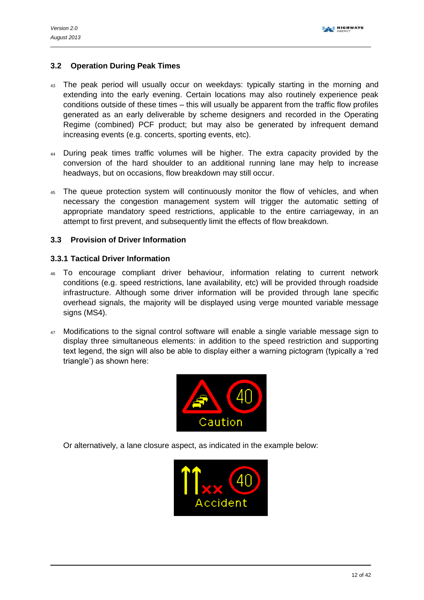# <span id="page-11-0"></span>**3.2 Operation During Peak Times**

- 43 The peak period will usually occur on weekdays: typically starting in the morning and extending into the early evening. Certain locations may also routinely experience peak conditions outside of these times – this will usually be apparent from the traffic flow profiles generated as an early deliverable by scheme designers and recorded in the Operating Regime (combined) PCF product; but may also be generated by infrequent demand increasing events (e.g. concerts, sporting events, etc).
- <sup>44</sup> During peak times traffic volumes will be higher. The extra capacity provided by the conversion of the hard shoulder to an additional running lane may help to increase headways, but on occasions, flow breakdown may still occur.
- <sup>45</sup> The queue protection system will continuously monitor the flow of vehicles, and when necessary the congestion management system will trigger the automatic setting of appropriate mandatory speed restrictions, applicable to the entire carriageway, in an attempt to first prevent, and subsequently limit the effects of flow breakdown.

# <span id="page-11-1"></span>**3.3 Provision of Driver Information**

#### **3.3.1 Tactical Driver Information**

- <sup>46</sup> To encourage compliant driver behaviour, information relating to current network conditions (e.g. speed restrictions, lane availability, etc) will be provided through roadside infrastructure. Although some driver information will be provided through lane specific overhead signals, the majority will be displayed using verge mounted variable message signs (MS4).
- 47 Modifications to the signal control software will enable a single variable message sign to display three simultaneous elements: in addition to the speed restriction and supporting text legend, the sign will also be able to display either a warning pictogram (typically a 'red triangle') as shown here:



Or alternatively, a lane closure aspect, as indicated in the example below:

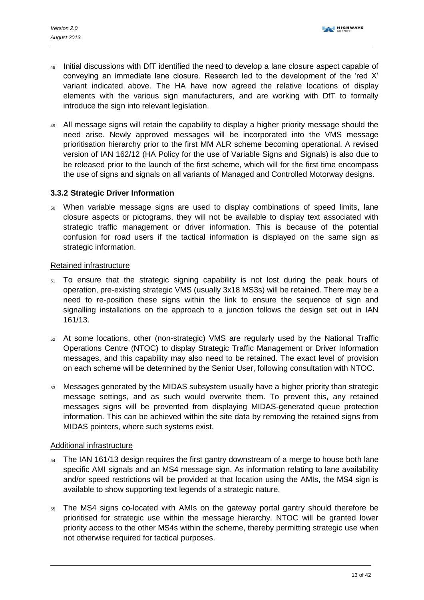- <sup>48</sup> Initial discussions with DfT identified the need to develop a lane closure aspect capable of conveying an immediate lane closure. Research led to the development of the 'red X' variant indicated above. The HA have now agreed the relative locations of display elements with the various sign manufacturers, and are working with DfT to formally introduce the sign into relevant legislation.
- 49 All message signs will retain the capability to display a higher priority message should the need arise. Newly approved messages will be incorporated into the VMS message prioritisation hierarchy prior to the first MM ALR scheme becoming operational. A revised version of IAN 162/12 (HA Policy for the use of Variable Signs and Signals) is also due to be released prior to the launch of the first scheme, which will for the first time encompass the use of signs and signals on all variants of Managed and Controlled Motorway designs.

# <span id="page-12-0"></span>**3.3.2 Strategic Driver Information**

When variable message signs are used to display combinations of speed limits, lane closure aspects or pictograms, they will not be available to display text associated with strategic traffic management or driver information. This is because of the potential confusion for road users if the tactical information is displayed on the same sign as strategic information.

#### Retained infrastructure

- $51$  To ensure that the strategic signing capability is not lost during the peak hours of operation, pre-existing strategic VMS (usually 3x18 MS3s) will be retained. There may be a need to re-position these signs within the link to ensure the sequence of sign and signalling installations on the approach to a junction follows the design set out in IAN 161/13.
- <sup>52</sup> At some locations, other (non-strategic) VMS are regularly used by the National Traffic Operations Centre (NTOC) to display Strategic Traffic Management or Driver Information messages, and this capability may also need to be retained. The exact level of provision on each scheme will be determined by the Senior User, following consultation with NTOC.
- <sup>53</sup> Messages generated by the MIDAS subsystem usually have a higher priority than strategic message settings, and as such would overwrite them. To prevent this, any retained messages signs will be prevented from displaying MIDAS-generated queue protection information. This can be achieved within the site data by removing the retained signs from MIDAS pointers, where such systems exist.

#### Additional infrastructure

- $54$  The IAN 161/13 design requires the first gantry downstream of a merge to house both lane specific AMI signals and an MS4 message sign. As information relating to lane availability and/or speed restrictions will be provided at that location using the AMIs, the MS4 sign is available to show supporting text legends of a strategic nature.
- <sub>55</sub> The MS4 signs co-located with AMIs on the gateway portal gantry should therefore be prioritised for strategic use within the message hierarchy. NTOC will be granted lower priority access to the other MS4s within the scheme, thereby permitting strategic use when not otherwise required for tactical purposes.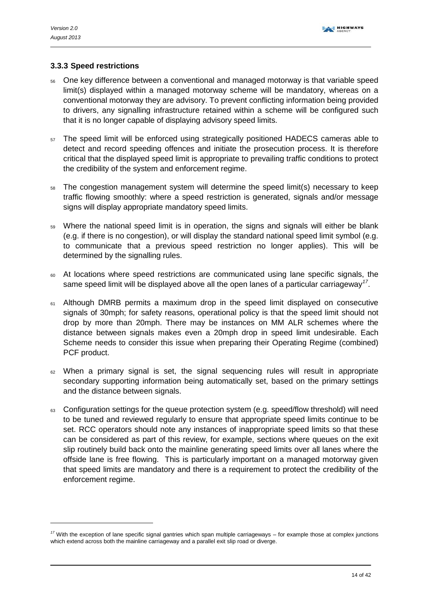$\overline{a}$ 

# **3.3.3 Speed restrictions**

- <sup>56</sup> One key difference between a conventional and managed motorway is that variable speed limit(s) displayed within a managed motorway scheme will be mandatory, whereas on a conventional motorway they are advisory. To prevent conflicting information being provided to drivers, any signalling infrastructure retained within a scheme will be configured such that it is no longer capable of displaying advisory speed limits.
- <sub>57</sub> The speed limit will be enforced using strategically positioned HADECS cameras able to detect and record speeding offences and initiate the prosecution process. It is therefore critical that the displayed speed limit is appropriate to prevailing traffic conditions to protect the credibility of the system and enforcement regime.
- <sub>58</sub> The congestion management system will determine the speed limit(s) necessary to keep traffic flowing smoothly: where a speed restriction is generated, signals and/or message signs will display appropriate mandatory speed limits.
- 59 Where the national speed limit is in operation, the signs and signals will either be blank (e.g. if there is no congestion), or will display the standard national speed limit symbol (e.g. to communicate that a previous speed restriction no longer applies). This will be determined by the signalling rules.
- <sup>60</sup> At locations where speed restrictions are communicated using lane specific signals, the same speed limit will be displayed above all the open lanes of a particular carriageway<sup>17</sup>.
- 61 Although DMRB permits a maximum drop in the speed limit displayed on consecutive signals of 30mph; for safety reasons, operational policy is that the speed limit should not drop by more than 20mph. There may be instances on MM ALR schemes where the distance between signals makes even a 20mph drop in speed limit undesirable. Each Scheme needs to consider this issue when preparing their Operating Regime (combined) PCF product.
- 62 When a primary signal is set, the signal sequencing rules will result in appropriate secondary supporting information being automatically set, based on the primary settings and the distance between signals.
- 63 Configuration settings for the queue protection system (e.g. speed/flow threshold) will need to be tuned and reviewed regularly to ensure that appropriate speed limits continue to be set. RCC operators should note any instances of inappropriate speed limits so that these can be considered as part of this review, for example, sections where queues on the exit slip routinely build back onto the mainline generating speed limits over all lanes where the offside lane is free flowing. This is particularly important on a managed motorway given that speed limits are mandatory and there is a requirement to protect the credibility of the enforcement regime.

<sup>&</sup>lt;sup>17</sup> With the exception of lane specific signal gantries which span multiple carriageways – for example those at complex junctions which extend across both the mainline carriageway and a parallel exit slip road or diverge.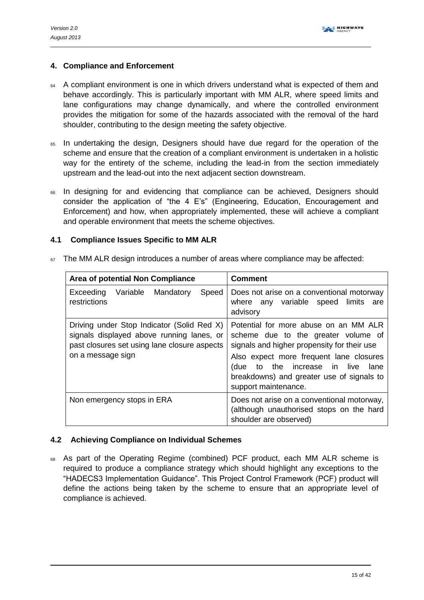# <span id="page-14-0"></span>**4. Compliance and Enforcement**

- $64$  A compliant environment is one in which drivers understand what is expected of them and behave accordingly. This is particularly important with MM ALR, where speed limits and lane configurations may change dynamically, and where the controlled environment provides the mitigation for some of the hazards associated with the removal of the hard shoulder, contributing to the design meeting the safety objective.
- <sup>65</sup> In undertaking the design, Designers should have due regard for the operation of the scheme and ensure that the creation of a compliant environment is undertaken in a holistic way for the entirety of the scheme, including the lead-in from the section immediately upstream and the lead-out into the next adjacent section downstream.
- 66 In designing for and evidencing that compliance can be achieved, Designers should consider the application of "the 4 E's" (Engineering, Education, Encouragement and Enforcement) and how, when appropriately implemented, these will achieve a compliant and operable environment that meets the scheme objectives.

#### <span id="page-14-1"></span>**4.1 Compliance Issues Specific to MM ALR**

| Area of potential Non Compliance                                                                                                                             | <b>Comment</b>                                                                                                                                                                                                                                                                         |
|--------------------------------------------------------------------------------------------------------------------------------------------------------------|----------------------------------------------------------------------------------------------------------------------------------------------------------------------------------------------------------------------------------------------------------------------------------------|
| Exceeding Variable Mandatory<br>Speed<br>restrictions                                                                                                        | Does not arise on a conventional motorway<br>where any variable speed limits are<br>advisory                                                                                                                                                                                           |
| Driving under Stop Indicator (Solid Red X)<br>signals displayed above running lanes, or<br>past closures set using lane closure aspects<br>on a message sign | Potential for more abuse on an MM ALR<br>scheme due to the greater volume of<br>signals and higher propensity for their use<br>Also expect more frequent lane closures<br>to the increase in live<br>(due<br>lane<br>breakdowns) and greater use of signals to<br>support maintenance. |
| Non emergency stops in ERA                                                                                                                                   | Does not arise on a conventional motorway,<br>(although unauthorised stops on the hard<br>shoulder are observed)                                                                                                                                                                       |

67 The MM ALR design introduces a number of areas where compliance may be affected:

# <span id="page-14-2"></span>**4.2 Achieving Compliance on Individual Schemes**

68 As part of the Operating Regime (combined) PCF product, each MM ALR scheme is required to produce a compliance strategy which should highlight any exceptions to the "HADECS3 Implementation Guidance". This Project Control Framework (PCF) product will define the actions being taken by the scheme to ensure that an appropriate level of compliance is achieved.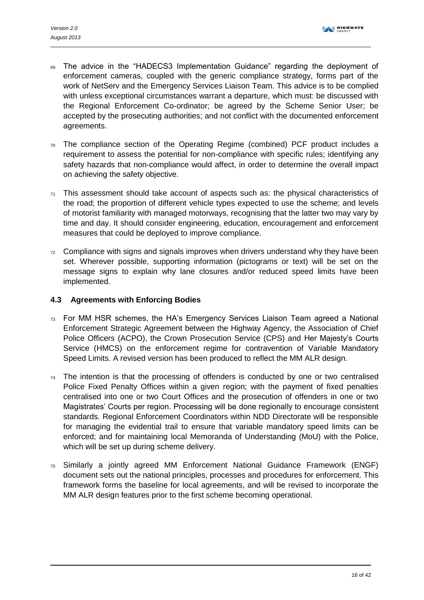- 69 The advice in the "HADECS3 Implementation Guidance" regarding the deployment of enforcement cameras, coupled with the generic compliance strategy, forms part of the work of NetServ and the Emergency Services Liaison Team. This advice is to be complied with unless exceptional circumstances warrant a departure, which must: be discussed with the Regional Enforcement Co-ordinator; be agreed by the Scheme Senior User; be accepted by the prosecuting authorities; and not conflict with the documented enforcement agreements.
- <sup>70</sup> The compliance section of the Operating Regime (combined) PCF product includes a requirement to assess the potential for non-compliance with specific rules; identifying any safety hazards that non-compliance would affect, in order to determine the overall impact on achieving the safety objective.
- $71$  This assessment should take account of aspects such as: the physical characteristics of the road; the proportion of different vehicle types expected to use the scheme; and levels of motorist familiarity with managed motorways, recognising that the latter two may vary by time and day. It should consider engineering, education, encouragement and enforcement measures that could be deployed to improve compliance.
- $72$  Compliance with signs and signals improves when drivers understand why they have been set. Wherever possible, supporting information (pictograms or text) will be set on the message signs to explain why lane closures and/or reduced speed limits have been implemented.

# <span id="page-15-0"></span>**4.3 Agreements with Enforcing Bodies**

- <sup>73</sup> For MM HSR schemes, the HA's Emergency Services Liaison Team agreed a National Enforcement Strategic Agreement between the Highway Agency, the Association of Chief Police Officers (ACPO), the Crown Prosecution Service (CPS) and Her Majesty's Courts Service (HMCS) on the enforcement regime for contravention of Variable Mandatory Speed Limits. A revised version has been produced to reflect the MM ALR design.
- $74$  The intention is that the processing of offenders is conducted by one or two centralised Police Fixed Penalty Offices within a given region; with the payment of fixed penalties centralised into one or two Court Offices and the prosecution of offenders in one or two Magistrates' Courts per region. Processing will be done regionally to encourage consistent standards. Regional Enforcement Coordinators within NDD Directorate will be responsible for managing the evidential trail to ensure that variable mandatory speed limits can be enforced; and for maintaining local Memoranda of Understanding (MoU) with the Police, which will be set up during scheme delivery.
- <sup>75</sup> Similarly a jointly agreed MM Enforcement National Guidance Framework (ENGF) document sets out the national principles, processes and procedures for enforcement. This framework forms the baseline for local agreements, and will be revised to incorporate the MM ALR design features prior to the first scheme becoming operational.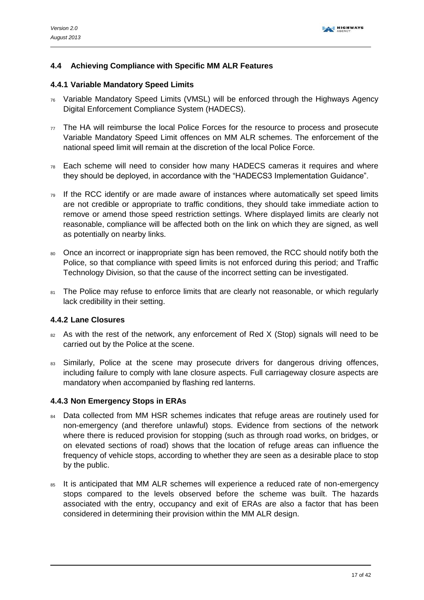# <span id="page-16-0"></span>**4.4 Achieving Compliance with Specific MM ALR Features**

#### **4.4.1 Variable Mandatory Speed Limits**

- $76$  Variable Mandatory Speed Limits (VMSL) will be enforced through the Highways Agency Digital Enforcement Compliance System (HADECS).
- $77$  The HA will reimburse the local Police Forces for the resource to process and prosecute Variable Mandatory Speed Limit offences on MM ALR schemes. The enforcement of the national speed limit will remain at the discretion of the local Police Force.
- <sup>78</sup> Each scheme will need to consider how many HADECS cameras it requires and where they should be deployed, in accordance with the "HADECS3 Implementation Guidance".
- <sup>79</sup> If the RCC identify or are made aware of instances where automatically set speed limits are not credible or appropriate to traffic conditions, they should take immediate action to remove or amend those speed restriction settings. Where displayed limits are clearly not reasonable, compliance will be affected both on the link on which they are signed, as well as potentially on nearby links.
- 80 Once an incorrect or inappropriate sign has been removed, the RCC should notify both the Police, so that compliance with speed limits is not enforced during this period; and Traffic Technology Division, so that the cause of the incorrect setting can be investigated.
- 81 The Police may refuse to enforce limits that are clearly not reasonable, or which regularly lack credibility in their setting.

#### **4.4.2 Lane Closures**

- $82$  As with the rest of the network, any enforcement of Red X (Stop) signals will need to be carried out by the Police at the scene.
- 83 Similarly, Police at the scene may prosecute drivers for dangerous driving offences, including failure to comply with lane closure aspects. Full carriageway closure aspects are mandatory when accompanied by flashing red lanterns.

#### **4.4.3 Non Emergency Stops in ERAs**

- 84 Data collected from MM HSR schemes indicates that refuge areas are routinely used for non-emergency (and therefore unlawful) stops. Evidence from sections of the network where there is reduced provision for stopping (such as through road works, on bridges, or on elevated sections of road) shows that the location of refuge areas can influence the frequency of vehicle stops, according to whether they are seen as a desirable place to stop by the public.
- 85 It is anticipated that MM ALR schemes will experience a reduced rate of non-emergency stops compared to the levels observed before the scheme was built. The hazards associated with the entry, occupancy and exit of ERAs are also a factor that has been considered in determining their provision within the MM ALR design.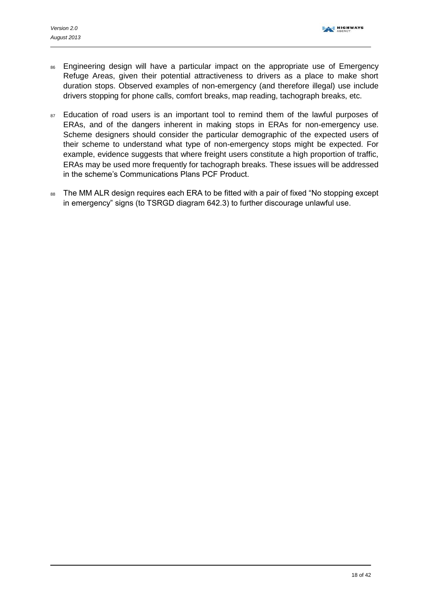- 86 Engineering design will have a particular impact on the appropriate use of Emergency Refuge Areas, given their potential attractiveness to drivers as a place to make short duration stops. Observed examples of non-emergency (and therefore illegal) use include drivers stopping for phone calls, comfort breaks, map reading, tachograph breaks, etc.
- 87 Education of road users is an important tool to remind them of the lawful purposes of ERAs, and of the dangers inherent in making stops in ERAs for non-emergency use. Scheme designers should consider the particular demographic of the expected users of their scheme to understand what type of non-emergency stops might be expected. For example, evidence suggests that where freight users constitute a high proportion of traffic, ERAs may be used more frequently for tachograph breaks. These issues will be addressed in the scheme's Communications Plans PCF Product.
- 88 The MM ALR design requires each ERA to be fitted with a pair of fixed "No stopping except in emergency" signs (to TSRGD diagram 642.3) to further discourage unlawful use.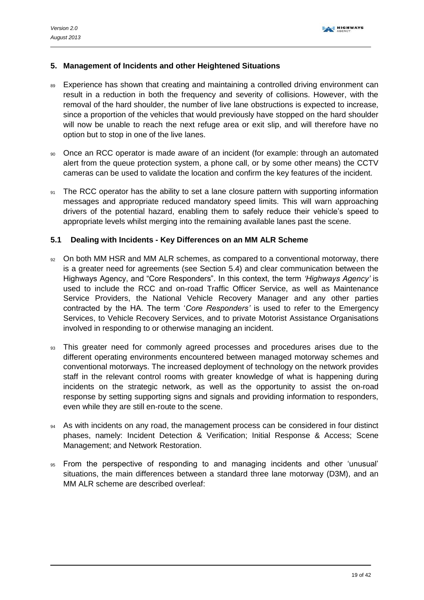# <span id="page-18-0"></span>**5. Management of Incidents and other Heightened Situations**

- 89 Experience has shown that creating and maintaining a controlled driving environment can result in a reduction in both the frequency and severity of collisions. However, with the removal of the hard shoulder, the number of live lane obstructions is expected to increase, since a proportion of the vehicles that would previously have stopped on the hard shoulder will now be unable to reach the next refuge area or exit slip, and will therefore have no option but to stop in one of the live lanes.
- <sup>90</sup> Once an RCC operator is made aware of an incident (for example: through an automated alert from the queue protection system, a phone call, or by some other means) the CCTV cameras can be used to validate the location and confirm the key features of the incident.
- $91$  The RCC operator has the ability to set a lane closure pattern with supporting information messages and appropriate reduced mandatory speed limits. This will warn approaching drivers of the potential hazard, enabling them to safely reduce their vehicle's speed to appropriate levels whilst merging into the remaining available lanes past the scene.

# <span id="page-18-1"></span>**5.1 Dealing with Incidents - Key Differences on an MM ALR Scheme**

- 92 On both MM HSR and MM ALR schemes, as compared to a conventional motorway, there is a greater need for agreements (see Section [5.4\)](#page-24-0) and clear communication between the Highways Agency, and "Core Responders". In this context, the term *'Highways Agency'* is used to include the RCC and on-road Traffic Officer Service, as well as Maintenance Service Providers, the National Vehicle Recovery Manager and any other parties contracted by the HA. The term '*Core Responders'* is used to refer to the Emergency Services, to Vehicle Recovery Services, and to private Motorist Assistance Organisations involved in responding to or otherwise managing an incident.
- 93 This greater need for commonly agreed processes and procedures arises due to the different operating environments encountered between managed motorway schemes and conventional motorways. The increased deployment of technology on the network provides staff in the relevant control rooms with greater knowledge of what is happening during incidents on the strategic network, as well as the opportunity to assist the on-road response by setting supporting signs and signals and providing information to responders, even while they are still en-route to the scene.
- 94 As with incidents on any road, the management process can be considered in four distinct phases, namely: Incident Detection & Verification; Initial Response & Access; Scene Management; and Network Restoration.
- <sup>95</sup> From the perspective of responding to and managing incidents and other 'unusual' situations, the main differences between a standard three lane motorway (D3M), and an MM ALR scheme are described overleaf: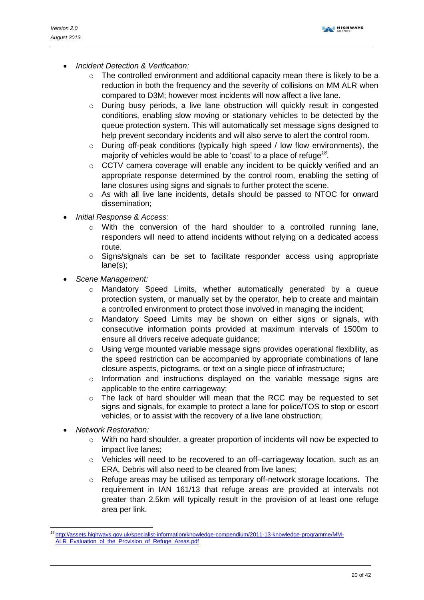- *Incident Detection & Verification:* 
	- $\circ$  The controlled environment and additional capacity mean there is likely to be a reduction in both the frequency and the severity of collisions on MM ALR when compared to D3M; however most incidents will now affect a live lane.
	- o During busy periods, a live lane obstruction will quickly result in congested conditions, enabling slow moving or stationary vehicles to be detected by the queue protection system. This will automatically set message signs designed to help prevent secondary incidents and will also serve to alert the control room.
	- o During off-peak conditions (typically high speed / low flow environments), the majority of vehicles would be able to 'coast' to a place of refuge*<sup>18</sup>* .
	- $\circ$  CCTV camera coverage will enable any incident to be quickly verified and an appropriate response determined by the control room, enabling the setting of lane closures using signs and signals to further protect the scene.
	- o As with all live lane incidents, details should be passed to NTOC for onward dissemination;
- *Initial Response & Access:*
	- o With the conversion of the hard shoulder to a controlled running lane, responders will need to attend incidents without relying on a dedicated access route.
	- $\circ$  Signs/signals can be set to facilitate responder access using appropriate lane(s);
- *Scene Management:*
	- o Mandatory Speed Limits, whether automatically generated by a queue protection system, or manually set by the operator, help to create and maintain a controlled environment to protect those involved in managing the incident;
	- o Mandatory Speed Limits may be shown on either signs or signals, with consecutive information points provided at maximum intervals of 1500m to ensure all drivers receive adequate guidance;
	- $\circ$  Using verge mounted variable message signs provides operational flexibility, as the speed restriction can be accompanied by appropriate combinations of lane closure aspects, pictograms, or text on a single piece of infrastructure;
	- $\circ$  Information and instructions displayed on the variable message signs are applicable to the entire carriageway;
	- $\circ$  The lack of hard shoulder will mean that the RCC may be requested to set signs and signals, for example to protect a lane for police/TOS to stop or escort vehicles, or to assist with the recovery of a live lane obstruction;
- *Network Restoration:*

- o With no hard shoulder, a greater proportion of incidents will now be expected to impact live lanes;
- o Vehicles will need to be recovered to an off–carriageway location, such as an ERA. Debris will also need to be cleared from live lanes;
- $\circ$  Refuge areas may be utilised as temporary off-network storage locations. The requirement in IAN 161/13 that refuge areas are provided at intervals not greater than 2.5km will typically result in the provision of at least one refuge area per link.

*<sup>18</sup>* [http://assets.highways.gov.uk/specialist-information/knowledge-compendium/2011-13-knowledge-programme/MM-](http://assets.highways.gov.uk/specialist-information/knowledge-compendium/2011-13-knowledge-programme/MM-ALR_Evaluation_of_the_Provision_of_Refuge_Areas.pdf)[ALR\\_Evaluation\\_of\\_the\\_Provision\\_of\\_Refuge\\_Areas.pdf](http://assets.highways.gov.uk/specialist-information/knowledge-compendium/2011-13-knowledge-programme/MM-ALR_Evaluation_of_the_Provision_of_Refuge_Areas.pdf)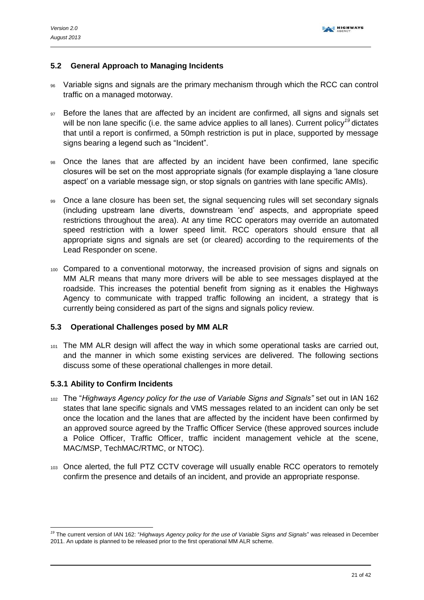# <span id="page-20-0"></span>**5.2 General Approach to Managing Incidents**

- <sup>96</sup> Variable signs and signals are the primary mechanism through which the RCC can control traffic on a managed motorway.
- 97 Before the lanes that are affected by an incident are confirmed, all signs and signals set will be non lane specific (i.e. the same advice applies to all lanes). Current policy*<sup>19</sup>* dictates that until a report is confirmed, a 50mph restriction is put in place, supported by message signs bearing a legend such as "Incident".
- <sup>98</sup> Once the lanes that are affected by an incident have been confirmed, lane specific closures will be set on the most appropriate signals (for example displaying a 'lane closure aspect' on a variable message sign, or stop signals on gantries with lane specific AMIs).
- <sup>99</sup> Once a lane closure has been set, the signal sequencing rules will set secondary signals (including upstream lane diverts, downstream 'end' aspects, and appropriate speed restrictions throughout the area). At any time RCC operators may override an automated speed restriction with a lower speed limit. RCC operators should ensure that all appropriate signs and signals are set (or cleared) according to the requirements of the Lead Responder on scene.
- 100 Compared to a conventional motorway, the increased provision of signs and signals on MM ALR means that many more drivers will be able to see messages displayed at the roadside. This increases the potential benefit from signing as it enables the Highways Agency to communicate with trapped traffic following an incident, a strategy that is currently being considered as part of the signs and signals policy review.

# <span id="page-20-1"></span>**5.3 Operational Challenges posed by MM ALR**

<sup>101</sup> The MM ALR design will affect the way in which some operational tasks are carried out, and the manner in which some existing services are delivered. The following sections discuss some of these operational challenges in more detail.

#### **5.3.1 Ability to Confirm Incidents**

- <sup>102</sup> The "*Highways Agency policy for the use of Variable Signs and Signals"* set out in IAN 162 states that lane specific signals and VMS messages related to an incident can only be set once the location and the lanes that are affected by the incident have been confirmed by an approved source agreed by the Traffic Officer Service (these approved sources include a Police Officer, Traffic Officer, traffic incident management vehicle at the scene, MAC/MSP, TechMAC/RTMC, or NTOC).
- 103 Once alerted, the full PTZ CCTV coverage will usually enable RCC operators to remotely confirm the presence and details of an incident, and provide an appropriate response.

*<sup>19</sup>* The current version of IAN 162: "*Highways Agency policy for the use of Variable Signs and Signals*" was released in December 2011. An update is planned to be released prior to the first operational MM ALR scheme.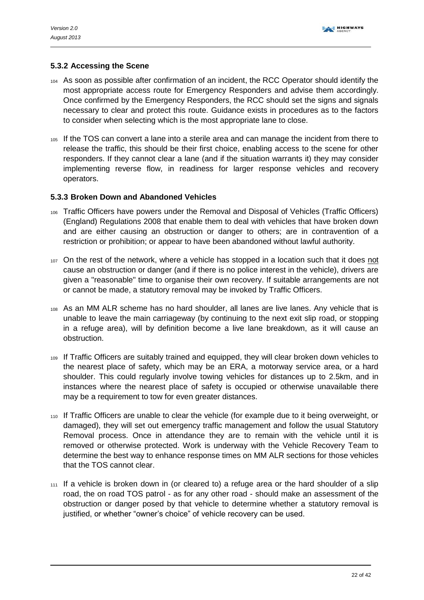# **5.3.2 Accessing the Scene**

- <sup>104</sup> As soon as possible after confirmation of an incident, the RCC Operator should identify the most appropriate access route for Emergency Responders and advise them accordingly. Once confirmed by the Emergency Responders, the RCC should set the signs and signals necessary to clear and protect this route. Guidance exists in procedures as to the factors to consider when selecting which is the most appropriate lane to close.
- <sup>105</sup> If the TOS can convert a lane into a sterile area and can manage the incident from there to release the traffic, this should be their first choice, enabling access to the scene for other responders. If they cannot clear a lane (and if the situation warrants it) they may consider implementing reverse flow, in readiness for larger response vehicles and recovery operators.

#### **5.3.3 Broken Down and Abandoned Vehicles**

- <sup>106</sup> Traffic Officers have powers under the Removal and Disposal of Vehicles (Traffic Officers) (England) Regulations 2008 that enable them to deal with vehicles that have broken down and are either causing an obstruction or danger to others; are in contravention of a restriction or prohibition; or appear to have been abandoned without lawful authority.
- <sup>107</sup> On the rest of the network, where a vehicle has stopped in a location such that it does not cause an obstruction or danger (and if there is no police interest in the vehicle), drivers are given a "reasonable" time to organise their own recovery. If suitable arrangements are not or cannot be made, a statutory removal may be invoked by Traffic Officers.
- <sup>108</sup> As an MM ALR scheme has no hard shoulder, all lanes are live lanes. Any vehicle that is unable to leave the main carriageway (by continuing to the next exit slip road, or stopping in a refuge area), will by definition become a live lane breakdown, as it will cause an obstruction.
- 109 If Traffic Officers are suitably trained and equipped, they will clear broken down vehicles to the nearest place of safety, which may be an ERA, a motorway service area, or a hard shoulder. This could regularly involve towing vehicles for distances up to 2.5km, and in instances where the nearest place of safety is occupied or otherwise unavailable there may be a requirement to tow for even greater distances.
- <sup>110</sup> If Traffic Officers are unable to clear the vehicle (for example due to it being overweight, or damaged), they will set out emergency traffic management and follow the usual Statutory Removal process. Once in attendance they are to remain with the vehicle until it is removed or otherwise protected. Work is underway with the Vehicle Recovery Team to determine the best way to enhance response times on MM ALR sections for those vehicles that the TOS cannot clear.
- 111 If a vehicle is broken down in (or cleared to) a refuge area or the hard shoulder of a slip road, the on road TOS patrol - as for any other road - should make an assessment of the obstruction or danger posed by that vehicle to determine whether a statutory removal is justified, or whether "owner's choice" of vehicle recovery can be used.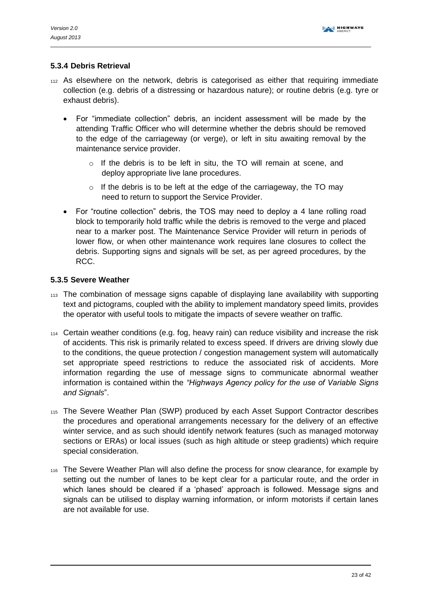# **5.3.4 Debris Retrieval**

- <sup>112</sup> As elsewhere on the network, debris is categorised as either that requiring immediate collection (e.g. debris of a distressing or hazardous nature); or routine debris (e.g. tyre or exhaust debris).
	- For "immediate collection" debris, an incident assessment will be made by the attending Traffic Officer who will determine whether the debris should be removed to the edge of the carriageway (or verge), or left in situ awaiting removal by the maintenance service provider.
		- o If the debris is to be left in situ, the TO will remain at scene, and deploy appropriate live lane procedures.
		- $\circ$  If the debris is to be left at the edge of the carriageway, the TO may need to return to support the Service Provider.
	- For "routine collection" debris, the TOS may need to deploy a 4 lane rolling road block to temporarily hold traffic while the debris is removed to the verge and placed near to a marker post. The Maintenance Service Provider will return in periods of lower flow, or when other maintenance work requires lane closures to collect the debris. Supporting signs and signals will be set, as per agreed procedures, by the RCC.

#### <span id="page-22-0"></span>**5.3.5 Severe Weather**

- <sup>113</sup> The combination of message signs capable of displaying lane availability with supporting text and pictograms, coupled with the ability to implement mandatory speed limits, provides the operator with useful tools to mitigate the impacts of severe weather on traffic.
- <sup>114</sup> Certain weather conditions (e.g. fog, heavy rain) can reduce visibility and increase the risk of accidents. This risk is primarily related to excess speed. If drivers are driving slowly due to the conditions, the queue protection / congestion management system will automatically set appropriate speed restrictions to reduce the associated risk of accidents. More information regarding the use of message signs to communicate abnormal weather information is contained within the *"Highways Agency policy for the use of Variable Signs and Signals*".
- <sup>115</sup> The Severe Weather Plan (SWP) produced by each Asset Support Contractor describes the procedures and operational arrangements necessary for the delivery of an effective winter service, and as such should identify network features (such as managed motorway sections or ERAs) or local issues (such as high altitude or steep gradients) which require special consideration.
- <sup>116</sup> The Severe Weather Plan will also define the process for snow clearance, for example by setting out the number of lanes to be kept clear for a particular route, and the order in which lanes should be cleared if a 'phased' approach is followed. Message signs and signals can be utilised to display warning information, or inform motorists if certain lanes are not available for use.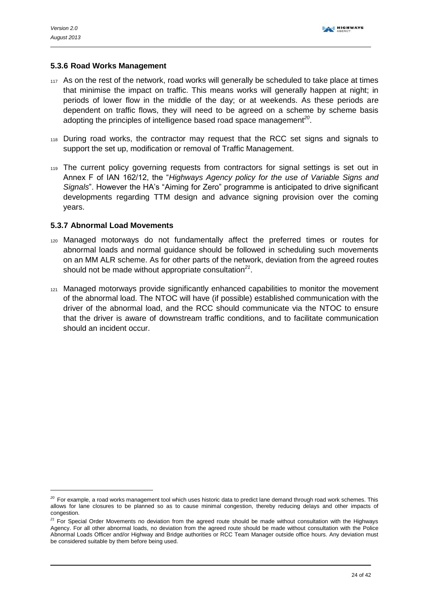$\overline{a}$ 

#### **5.3.6 Road Works Management**

- <sup>117</sup> As on the rest of the network, road works will generally be scheduled to take place at times that minimise the impact on traffic. This means works will generally happen at night; in periods of lower flow in the middle of the day; or at weekends. As these periods are dependent on traffic flows, they will need to be agreed on a scheme by scheme basis adopting the principles of intelligence based road space management*<sup>20</sup>* .
- <sup>118</sup> During road works, the contractor may request that the RCC set signs and signals to support the set up, modification or removal of Traffic Management.
- 119 The current policy governing requests from contractors for signal settings is set out in Annex F of IAN 162/12, the "*Highways Agency policy for the use of Variable Signs and Signals*". However the HA's "Aiming for Zero" programme is anticipated to drive significant developments regarding TTM design and advance signing provision over the coming years.

#### **5.3.7 Abnormal Load Movements**

- <sup>120</sup> Managed motorways do not fundamentally affect the preferred times or routes for abnormal loads and normal guidance should be followed in scheduling such movements on an MM ALR scheme. As for other parts of the network, deviation from the agreed routes should not be made without appropriate consultation*<sup>21</sup>* .
- 121 Managed motorways provide significantly enhanced capabilities to monitor the movement of the abnormal load. The NTOC will have (if possible) established communication with the driver of the abnormal load, and the RCC should communicate via the NTOC to ensure that the driver is aware of downstream traffic conditions, and to facilitate communication should an incident occur.

*<sup>20</sup>* For example, a road works management tool which uses historic data to predict lane demand through road work schemes. This allows for lane closures to be planned so as to cause minimal congestion, thereby reducing delays and other impacts of congestion.

<sup>&</sup>lt;sup>21</sup> For Special Order Movements no deviation from the agreed route should be made without consultation with the Highways Agency. For all other abnormal loads, no deviation from the agreed route should be made without consultation with the Police Abnormal Loads Officer and/or Highway and Bridge authorities or RCC Team Manager outside office hours. Any deviation must be considered suitable by them before being used.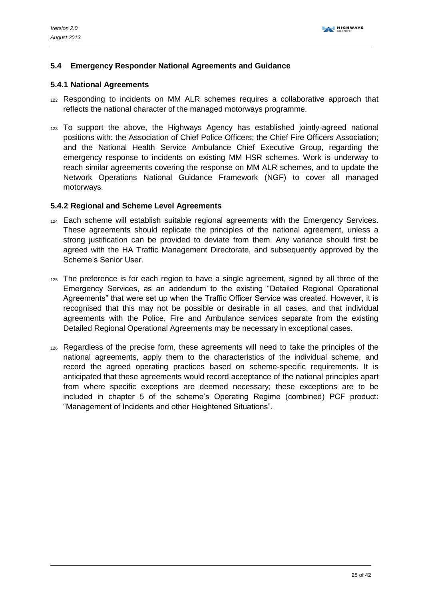# <span id="page-24-0"></span>**5.4 Emergency Responder National Agreements and Guidance**

#### **5.4.1 National Agreements**

- <sup>122</sup> Responding to incidents on MM ALR schemes requires a collaborative approach that reflects the national character of the managed motorways programme.
- <sup>123</sup> To support the above, the Highways Agency has established jointly-agreed national positions with: the Association of Chief Police Officers; the Chief Fire Officers Association; and the National Health Service Ambulance Chief Executive Group, regarding the emergency response to incidents on existing MM HSR schemes. Work is underway to reach similar agreements covering the response on MM ALR schemes, and to update the Network Operations National Guidance Framework (NGF) to cover all managed motorways.

#### **5.4.2 Regional and Scheme Level Agreements**

- <sup>124</sup> Each scheme will establish suitable regional agreements with the Emergency Services. These agreements should replicate the principles of the national agreement, unless a strong justification can be provided to deviate from them. Any variance should first be agreed with the HA Traffic Management Directorate, and subsequently approved by the Scheme's Senior User.
- 125 The preference is for each region to have a single agreement, signed by all three of the Emergency Services, as an addendum to the existing "Detailed Regional Operational Agreements" that were set up when the Traffic Officer Service was created. However, it is recognised that this may not be possible or desirable in all cases, and that individual agreements with the Police, Fire and Ambulance services separate from the existing Detailed Regional Operational Agreements may be necessary in exceptional cases.
- <sup>126</sup> Regardless of the precise form, these agreements will need to take the principles of the national agreements, apply them to the characteristics of the individual scheme, and record the agreed operating practices based on scheme-specific requirements. It is anticipated that these agreements would record acceptance of the national principles apart from where specific exceptions are deemed necessary; these exceptions are to be included in chapter 5 of the scheme's Operating Regime (combined) PCF product: "Management of Incidents and other Heightened Situations".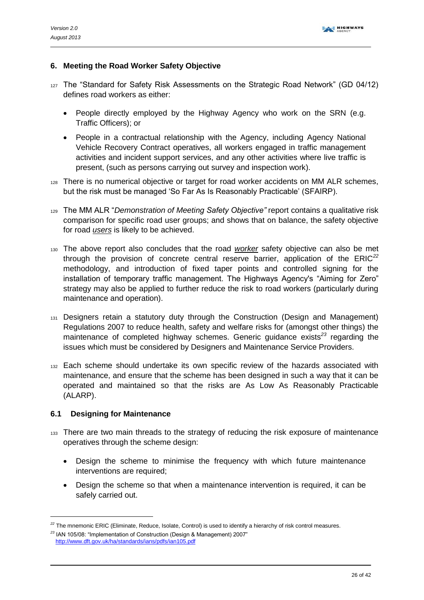# <span id="page-25-0"></span>**6. Meeting the Road Worker Safety Objective**

- <sup>127</sup> The "Standard for Safety Risk Assessments on the Strategic Road Network" (GD 04/12) defines road workers as either:
	- People directly employed by the Highway Agency who work on the SRN (e.g. Traffic Officers); or
	- People in a contractual relationship with the Agency, including Agency National Vehicle Recovery Contract operatives, all workers engaged in traffic management activities and incident support services, and any other activities where live traffic is present, (such as persons carrying out survey and inspection work).
- <sup>128</sup> There is no numerical objective or target for road worker accidents on MM ALR schemes, but the risk must be managed 'So Far As Is Reasonably Practicable' (SFAIRP).
- <sup>129</sup> The MM ALR "*Demonstration of Meeting Safety Objective"* report contains a qualitative risk comparison for specific road user groups; and shows that on balance, the safety objective for road *users* is likely to be achieved.
- <sup>130</sup> The above report also concludes that the road *worker* safety objective can also be met through the provision of concrete central reserve barrier, application of the ERIC*<sup>22</sup>* methodology, and introduction of fixed taper points and controlled signing for the installation of temporary traffic management. The Highways Agency's "Aiming for Zero" strategy may also be applied to further reduce the risk to road workers (particularly during maintenance and operation).
- <sup>131</sup> Designers retain a statutory duty through the Construction (Design and Management) Regulations 2007 to reduce health, safety and welfare risks for (amongst other things) the maintenance of completed highway schemes. Generic guidance exists*<sup>23</sup>* regarding the issues which must be considered by Designers and Maintenance Service Providers.
- <sup>132</sup> Each scheme should undertake its own specific review of the hazards associated with maintenance, and ensure that the scheme has been designed in such a way that it can be operated and maintained so that the risks are As Low As Reasonably Practicable (ALARP).

# <span id="page-25-1"></span>**6.1 Designing for Maintenance**

- <sup>133</sup> There are two main threads to the strategy of reducing the risk exposure of maintenance operatives through the scheme design:
	- Design the scheme to minimise the frequency with which future maintenance interventions are required;
	- Design the scheme so that when a maintenance intervention is required, it can be safely carried out.

*<sup>22</sup>* The mnemonic ERIC (Eliminate, Reduce, Isolate, Control) is used to identify a hierarchy of risk control measures.

*<sup>23</sup>* IAN 105/08: "Implementation of Construction (Design & Management) 2007" <http://www.dft.gov.uk/ha/standards/ians/pdfs/ian105.pdf>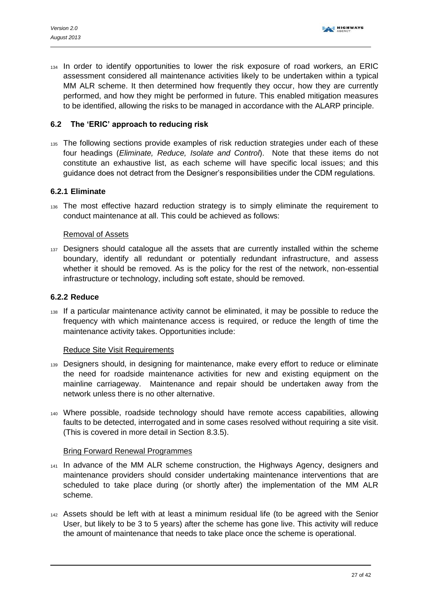134 In order to identify opportunities to lower the risk exposure of road workers, an ERIC assessment considered all maintenance activities likely to be undertaken within a typical MM ALR scheme. It then determined how frequently they occur, how they are currently performed, and how they might be performed in future. This enabled mitigation measures to be identified, allowing the risks to be managed in accordance with the ALARP principle.

# <span id="page-26-0"></span>**6.2 The 'ERIC' approach to reducing risk**

<sup>135</sup> The following sections provide examples of risk reduction strategies under each of these four headings (*Eliminate, Reduce, Isolate and Control*). Note that these items do not constitute an exhaustive list, as each scheme will have specific local issues; and this guidance does not detract from the Designer's responsibilities under the CDM regulations.

#### **6.2.1 Eliminate**

136 The most effective hazard reduction strategy is to simply eliminate the requirement to conduct maintenance at all. This could be achieved as follows:

#### Removal of Assets

137 Designers should catalogue all the assets that are currently installed within the scheme boundary, identify all redundant or potentially redundant infrastructure, and assess whether it should be removed. As is the policy for the rest of the network, non-essential infrastructure or technology, including soft estate, should be removed.

#### **6.2.2 Reduce**

<sup>138</sup> If a particular maintenance activity cannot be eliminated, it may be possible to reduce the frequency with which maintenance access is required, or reduce the length of time the maintenance activity takes. Opportunities include:

#### Reduce Site Visit Requirements

- <sup>139</sup> Designers should, in designing for maintenance, make every effort to reduce or eliminate the need for roadside maintenance activities for new and existing equipment on the mainline carriageway. Maintenance and repair should be undertaken away from the network unless there is no other alternative.
- <sup>140</sup> Where possible, roadside technology should have remote access capabilities, allowing faults to be detected, interrogated and in some cases resolved without requiring a site visit. (This is covered in more detail in Section [8.3.5\)](#page-35-0).

#### Bring Forward Renewal Programmes

- <sup>141</sup> In advance of the MM ALR scheme construction, the Highways Agency, designers and maintenance providers should consider undertaking maintenance interventions that are scheduled to take place during (or shortly after) the implementation of the MM ALR scheme.
- <sup>142</sup> Assets should be left with at least a minimum residual life (to be agreed with the Senior User, but likely to be 3 to 5 years) after the scheme has gone live. This activity will reduce the amount of maintenance that needs to take place once the scheme is operational.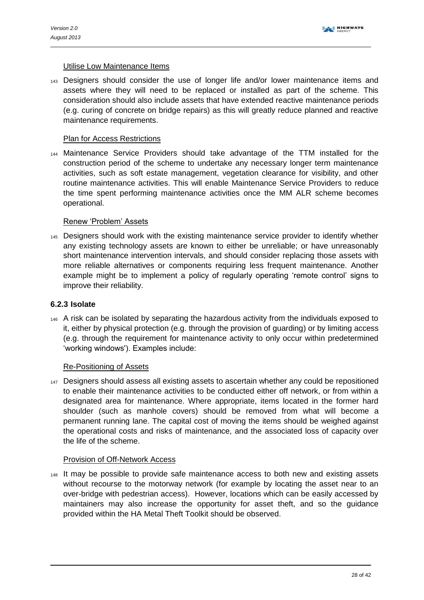#### Utilise Low Maintenance Items

<sup>143</sup> Designers should consider the use of longer life and/or lower maintenance items and assets where they will need to be replaced or installed as part of the scheme. This consideration should also include assets that have extended reactive maintenance periods (e.g. curing of concrete on bridge repairs) as this will greatly reduce planned and reactive maintenance requirements.

#### Plan for Access Restrictions

<sup>144</sup> Maintenance Service Providers should take advantage of the TTM installed for the construction period of the scheme to undertake any necessary longer term maintenance activities, such as soft estate management, vegetation clearance for visibility, and other routine maintenance activities. This will enable Maintenance Service Providers to reduce the time spent performing maintenance activities once the MM ALR scheme becomes operational.

#### Renew 'Problem' Assets

<sup>145</sup> Designers should work with the existing maintenance service provider to identify whether any existing technology assets are known to either be unreliable; or have unreasonably short maintenance intervention intervals, and should consider replacing those assets with more reliable alternatives or components requiring less frequent maintenance. Another example might be to implement a policy of regularly operating 'remote control' signs to improve their reliability.

# **6.2.3 Isolate**

<sup>146</sup> A risk can be isolated by separating the hazardous activity from the individuals exposed to it, either by physical protection (e.g. through the provision of guarding) or by limiting access (e.g. through the requirement for maintenance activity to only occur within predetermined 'working windows'). Examples include:

#### Re-Positioning of Assets

147 Designers should assess all existing assets to ascertain whether any could be repositioned to enable their maintenance activities to be conducted either off network, or from within a designated area for maintenance. Where appropriate, items located in the former hard shoulder (such as manhole covers) should be removed from what will become a permanent running lane. The capital cost of moving the items should be weighed against the operational costs and risks of maintenance, and the associated loss of capacity over the life of the scheme.

#### Provision of Off-Network Access

<sup>148</sup> It may be possible to provide safe maintenance access to both new and existing assets without recourse to the motorway network (for example by locating the asset near to an over-bridge with pedestrian access). However, locations which can be easily accessed by maintainers may also increase the opportunity for asset theft, and so the guidance provided within the HA Metal Theft Toolkit should be observed.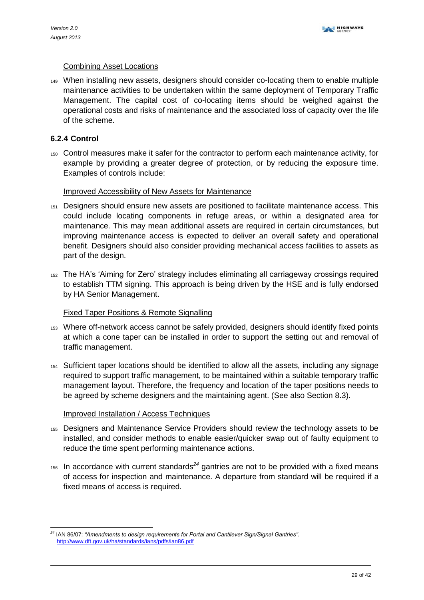# Combining Asset Locations

<sup>149</sup> When installing new assets, designers should consider co-locating them to enable multiple maintenance activities to be undertaken within the same deployment of Temporary Traffic Management. The capital cost of co-locating items should be weighed against the operational costs and risks of maintenance and the associated loss of capacity over the life of the scheme.

# **6.2.4 Control**

<sup>150</sup> Control measures make it safer for the contractor to perform each maintenance activity, for example by providing a greater degree of protection, or by reducing the exposure time. Examples of controls include:

#### Improved Accessibility of New Assets for Maintenance

- <sup>151</sup> Designers should ensure new assets are positioned to facilitate maintenance access. This could include locating components in refuge areas, or within a designated area for maintenance. This may mean additional assets are required in certain circumstances, but improving maintenance access is expected to deliver an overall safety and operational benefit. Designers should also consider providing mechanical access facilities to assets as part of the design.
- <sup>152</sup> The HA's 'Aiming for Zero' strategy includes eliminating all carriageway crossings required to establish TTM signing. This approach is being driven by the HSE and is fully endorsed by HA Senior Management.

#### Fixed Taper Positions & Remote Signalling

- <sup>153</sup> Where off-network access cannot be safely provided, designers should identify fixed points at which a cone taper can be installed in order to support the setting out and removal of traffic management.
- <sup>154</sup> Sufficient taper locations should be identified to allow all the assets, including any signage required to support traffic management, to be maintained within a suitable temporary traffic management layout. Therefore, the frequency and location of the taper positions needs to be agreed by scheme designers and the maintaining agent. (See also Section [8.3\)](#page-33-0).

#### Improved Installation / Access Techniques

- <sup>155</sup> Designers and Maintenance Service Providers should review the technology assets to be installed, and consider methods to enable easier/quicker swap out of faulty equipment to reduce the time spent performing maintenance actions.
- <sup>156</sup> In accordance with current standards*<sup>24</sup>* gantries are not to be provided with a fixed means of access for inspection and maintenance. A departure from standard will be required if a fixed means of access is required.

 $\overline{a}$ *<sup>24</sup>* IAN 86/07: *"Amendments to design requirements for Portal and Cantilever Sign/Signal Gantries".* <http://www.dft.gov.uk/ha/standards/ians/pdfs/ian86.pdf>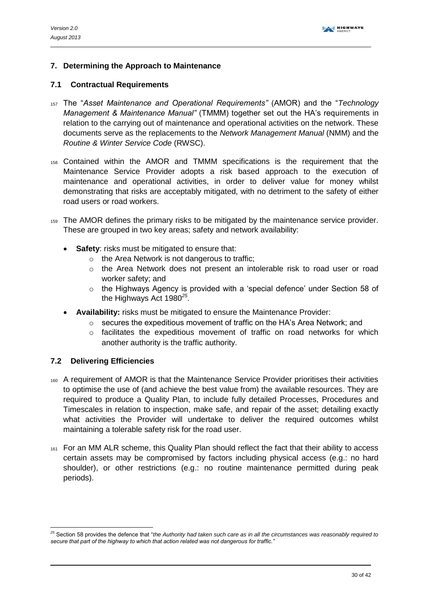# <span id="page-29-0"></span>**7. Determining the Approach to Maintenance**

# <span id="page-29-1"></span>**7.1 Contractual Requirements**

- <sup>157</sup> The "*Asset Maintenance and Operational Requirements"* (AMOR) and the "*Technology Management & Maintenance Manual"* (TMMM) together set out the HA's requirements in relation to the carrying out of maintenance and operational activities on the network. These documents serve as the replacements to the *Network Management Manual* (NMM) and the *Routine & Winter Service Code* (RWSC).
- <sup>158</sup> Contained within the AMOR and TMMM specifications is the requirement that the Maintenance Service Provider adopts a risk based approach to the execution of maintenance and operational activities, in order to deliver value for money whilst demonstrating that risks are acceptably mitigated, with no detriment to the safety of either road users or road workers.
- <sup>159</sup> The AMOR defines the primary risks to be mitigated by the maintenance service provider. These are grouped in two key areas; safety and network availability:
	- **Safety:** risks must be mitigated to ensure that:
		- o the Area Network is not dangerous to traffic;
		- o the Area Network does not present an intolerable risk to road user or road worker safety; and
		- o the Highways Agency is provided with a 'special defence' under Section 58 of the Highways Act 1980*<sup>25</sup>* .
	- **Availability:** risks must be mitigated to ensure the Maintenance Provider:
		- $\circ$  secures the expeditious movement of traffic on the HA's Area Network; and
		- o facilitates the expeditious movement of traffic on road networks for which another authority is the traffic authority.

# <span id="page-29-2"></span>**7.2 Delivering Efficiencies**

- <sup>160</sup> A requirement of AMOR is that the Maintenance Service Provider prioritises their activities to optimise the use of (and achieve the best value from) the available resources. They are required to produce a Quality Plan, to include fully detailed Processes, Procedures and Timescales in relation to inspection, make safe, and repair of the asset; detailing exactly what activities the Provider will undertake to deliver the required outcomes whilst maintaining a tolerable safety risk for the road user.
- <sup>161</sup> For an MM ALR scheme, this Quality Plan should reflect the fact that their ability to access certain assets may be compromised by factors including physical access (e.g.: no hard shoulder), or other restrictions (e.g.: no routine maintenance permitted during peak periods).

*<sup>25</sup>* Section 58 provides the defence that "*the Authority had taken such care as in all the circumstances was reasonably required to secure that part of the highway to which that action related was not dangerous for traffic."*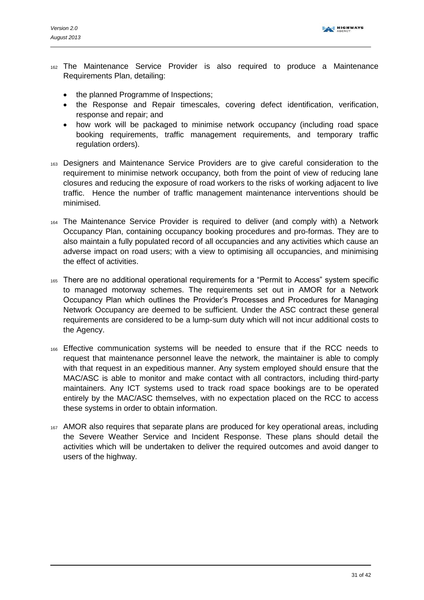

- 162 The Maintenance Service Provider is also required to produce a Maintenance Requirements Plan, detailing:
	- the planned Programme of Inspections;
	- the Response and Repair timescales, covering defect identification, verification, response and repair; and
	- how work will be packaged to minimise network occupancy (including road space booking requirements, traffic management requirements, and temporary traffic regulation orders).
- <sup>163</sup> Designers and Maintenance Service Providers are to give careful consideration to the requirement to minimise network occupancy, both from the point of view of reducing lane closures and reducing the exposure of road workers to the risks of working adjacent to live traffic. Hence the number of traffic management maintenance interventions should be minimised.
- <sup>164</sup> The Maintenance Service Provider is required to deliver (and comply with) a Network Occupancy Plan, containing occupancy booking procedures and pro-formas. They are to also maintain a fully populated record of all occupancies and any activities which cause an adverse impact on road users; with a view to optimising all occupancies, and minimising the effect of activities.
- <sup>165</sup> There are no additional operational requirements for a "Permit to Access" system specific to managed motorway schemes. The requirements set out in AMOR for a Network Occupancy Plan which outlines the Provider's Processes and Procedures for Managing Network Occupancy are deemed to be sufficient. Under the ASC contract these general requirements are considered to be a lump-sum duty which will not incur additional costs to the Agency.
- <sup>166</sup> Effective communication systems will be needed to ensure that if the RCC needs to request that maintenance personnel leave the network, the maintainer is able to comply with that request in an expeditious manner. Any system employed should ensure that the MAC/ASC is able to monitor and make contact with all contractors, including third-party maintainers. Any ICT systems used to track road space bookings are to be operated entirely by the MAC/ASC themselves, with no expectation placed on the RCC to access these systems in order to obtain information.
- 167 AMOR also requires that separate plans are produced for key operational areas, including the Severe Weather Service and Incident Response. These plans should detail the activities which will be undertaken to deliver the required outcomes and avoid danger to users of the highway.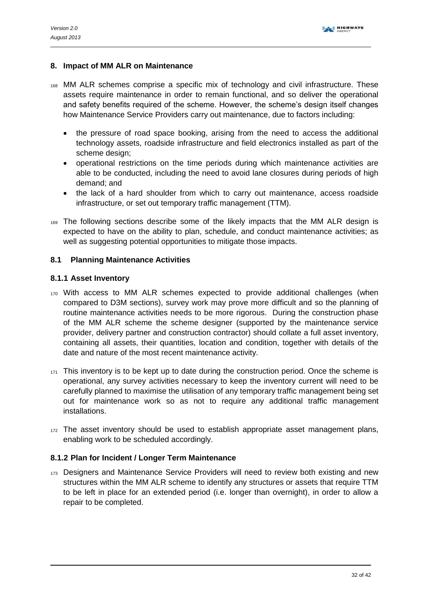#### <span id="page-31-0"></span>**8. Impact of MM ALR on Maintenance**

- <sup>168</sup> MM ALR schemes comprise a specific mix of technology and civil infrastructure. These assets require maintenance in order to remain functional, and so deliver the operational and safety benefits required of the scheme. However, the scheme's design itself changes how Maintenance Service Providers carry out maintenance, due to factors including:
	- the pressure of road space booking, arising from the need to access the additional technology assets, roadside infrastructure and field electronics installed as part of the scheme design;
	- operational restrictions on the time periods during which maintenance activities are able to be conducted, including the need to avoid lane closures during periods of high demand; and
	- the lack of a hard shoulder from which to carry out maintenance, access roadside infrastructure, or set out temporary traffic management (TTM).
- 169 The following sections describe some of the likely impacts that the MM ALR design is expected to have on the ability to plan, schedule, and conduct maintenance activities; as well as suggesting potential opportunities to mitigate those impacts.

#### <span id="page-31-1"></span>**8.1 Planning Maintenance Activities**

#### **8.1.1 Asset Inventory**

- <sup>170</sup> With access to MM ALR schemes expected to provide additional challenges (when compared to D3M sections), survey work may prove more difficult and so the planning of routine maintenance activities needs to be more rigorous. During the construction phase of the MM ALR scheme the scheme designer (supported by the maintenance service provider, delivery partner and construction contractor) should collate a full asset inventory, containing all assets, their quantities, location and condition, together with details of the date and nature of the most recent maintenance activity.
- 171 This inventory is to be kept up to date during the construction period. Once the scheme is operational, any survey activities necessary to keep the inventory current will need to be carefully planned to maximise the utilisation of any temporary traffic management being set out for maintenance work so as not to require any additional traffic management installations.
- <sup>172</sup> The asset inventory should be used to establish appropriate asset management plans, enabling work to be scheduled accordingly.

#### **8.1.2 Plan for Incident / Longer Term Maintenance**

<sup>173</sup> Designers and Maintenance Service Providers will need to review both existing and new structures within the MM ALR scheme to identify any structures or assets that require TTM to be left in place for an extended period (i.e. longer than overnight), in order to allow a repair to be completed.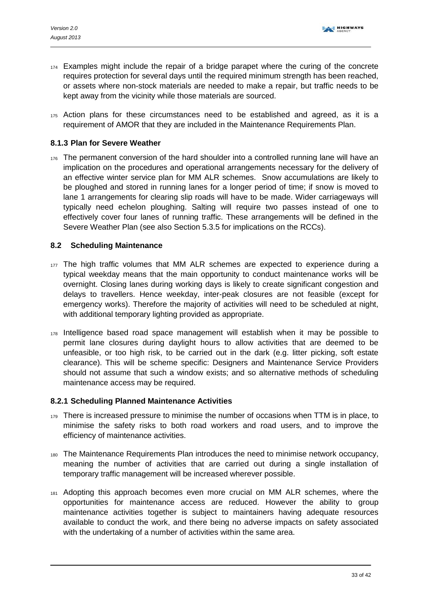

- 174 Examples might include the repair of a bridge parapet where the curing of the concrete requires protection for several days until the required minimum strength has been reached, or assets where non-stock materials are needed to make a repair, but traffic needs to be kept away from the vicinity while those materials are sourced.
- 175 Action plans for these circumstances need to be established and agreed, as it is a requirement of AMOR that they are included in the Maintenance Requirements Plan.

# **8.1.3 Plan for Severe Weather**

<sup>176</sup> The permanent conversion of the hard shoulder into a controlled running lane will have an implication on the procedures and operational arrangements necessary for the delivery of an effective winter service plan for MM ALR schemes. Snow accumulations are likely to be ploughed and stored in running lanes for a longer period of time; if snow is moved to lane 1 arrangements for clearing slip roads will have to be made. Wider carriageways will typically need echelon ploughing. Salting will require two passes instead of one to effectively cover four lanes of running traffic. These arrangements will be defined in the Severe Weather Plan (see also Section [5.3.5](#page-22-0) for implications on the RCCs).

# <span id="page-32-0"></span>**8.2 Scheduling Maintenance**

- 177 The high traffic volumes that MM ALR schemes are expected to experience during a typical weekday means that the main opportunity to conduct maintenance works will be overnight. Closing lanes during working days is likely to create significant congestion and delays to travellers. Hence weekday, inter-peak closures are not feasible (except for emergency works). Therefore the majority of activities will need to be scheduled at night, with additional temporary lighting provided as appropriate.
- <sup>178</sup> Intelligence based road space management will establish when it may be possible to permit lane closures during daylight hours to allow activities that are deemed to be unfeasible, or too high risk, to be carried out in the dark (e.g. litter picking, soft estate clearance). This will be scheme specific: Designers and Maintenance Service Providers should not assume that such a window exists; and so alternative methods of scheduling maintenance access may be required.

#### **8.2.1 Scheduling Planned Maintenance Activities**

- 179 There is increased pressure to minimise the number of occasions when TTM is in place, to minimise the safety risks to both road workers and road users, and to improve the efficiency of maintenance activities.
- <sup>180</sup> The Maintenance Requirements Plan introduces the need to minimise network occupancy, meaning the number of activities that are carried out during a single installation of temporary traffic management will be increased wherever possible.
- <sup>181</sup> Adopting this approach becomes even more crucial on MM ALR schemes, where the opportunities for maintenance access are reduced. However the ability to group maintenance activities together is subject to maintainers having adequate resources available to conduct the work, and there being no adverse impacts on safety associated with the undertaking of a number of activities within the same area.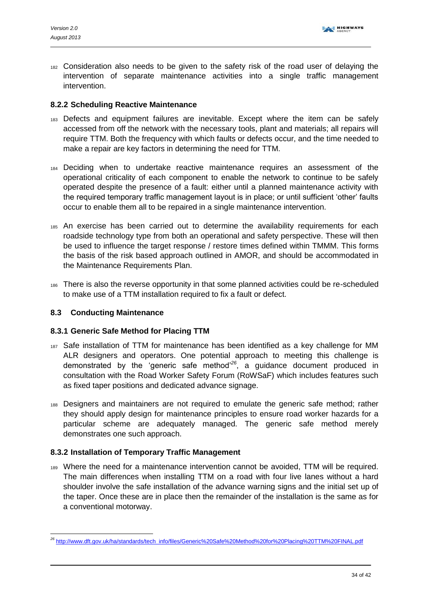

182 Consideration also needs to be given to the safety risk of the road user of delaying the intervention of separate maintenance activities into a single traffic management intervention.

# **8.2.2 Scheduling Reactive Maintenance**

- <sup>183</sup> Defects and equipment failures are inevitable. Except where the item can be safely accessed from off the network with the necessary tools, plant and materials; all repairs will require TTM. Both the frequency with which faults or defects occur, and the time needed to make a repair are key factors in determining the need for TTM.
- <sup>184</sup> Deciding when to undertake reactive maintenance requires an assessment of the operational criticality of each component to enable the network to continue to be safely operated despite the presence of a fault: either until a planned maintenance activity with the required temporary traffic management layout is in place; or until sufficient 'other' faults occur to enable them all to be repaired in a single maintenance intervention.
- <sup>185</sup> An exercise has been carried out to determine the availability requirements for each roadside technology type from both an operational and safety perspective. These will then be used to influence the target response / restore times defined within TMMM. This forms the basis of the risk based approach outlined in AMOR, and should be accommodated in the Maintenance Requirements Plan.
- 186 There is also the reverse opportunity in that some planned activities could be re-scheduled to make use of a TTM installation required to fix a fault or defect.

#### <span id="page-33-0"></span>**8.3 Conducting Maintenance**

#### **8.3.1 Generic Safe Method for Placing TTM**

- <sup>187</sup> Safe installation of TTM for maintenance has been identified as a key challenge for MM ALR designers and operators. One potential approach to meeting this challenge is demonstrated by the 'generic safe method'*<sup>26</sup>*, a guidance document produced in consultation with the Road Worker Safety Forum (RoWSaF) which includes features such as fixed taper positions and dedicated advance signage.
- <sup>188</sup> Designers and maintainers are not required to emulate the generic safe method; rather they should apply design for maintenance principles to ensure road worker hazards for a particular scheme are adequately managed. The generic safe method merely demonstrates one such approach.

# **8.3.2 Installation of Temporary Traffic Management**

<sup>189</sup> Where the need for a maintenance intervention cannot be avoided, TTM will be required. The main differences when installing TTM on a road with four live lanes without a hard shoulder involve the safe installation of the advance warning signs and the initial set up of the taper. Once these are in place then the remainder of the installation is the same as for a conventional motorway.

 $\overline{a}$ *<sup>26</sup>* [http://www.dft.gov.uk/ha/standards/tech\\_info/files/Generic%20Safe%20Method%20for%20Placing%20TTM%20FINAL.pdf](http://www.dft.gov.uk/ha/standards/tech_info/files/Generic%20Safe%20Method%20for%20Placing%20TTM%20FINAL.pdf)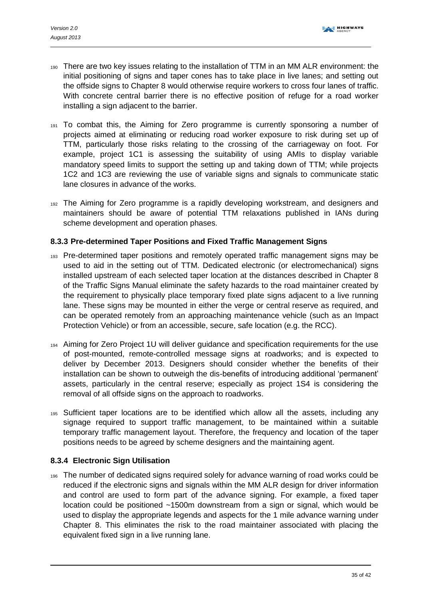- <sup>190</sup> There are two key issues relating to the installation of TTM in an MM ALR environment: the initial positioning of signs and taper cones has to take place in live lanes; and setting out the offside signs to Chapter 8 would otherwise require workers to cross four lanes of traffic. With concrete central barrier there is no effective position of refuge for a road worker installing a sign adjacent to the barrier.
- <sup>191</sup> To combat this, the Aiming for Zero programme is currently sponsoring a number of projects aimed at eliminating or reducing road worker exposure to risk during set up of TTM, particularly those risks relating to the crossing of the carriageway on foot. For example, project 1C1 is assessing the suitability of using AMIs to display variable mandatory speed limits to support the setting up and taking down of TTM; while projects 1C2 and 1C3 are reviewing the use of variable signs and signals to communicate static lane closures in advance of the works.
- <sup>192</sup> The Aiming for Zero programme is a rapidly developing workstream, and designers and maintainers should be aware of potential TTM relaxations published in IANs during scheme development and operation phases.

# **8.3.3 Pre-determined Taper Positions and Fixed Traffic Management Signs**

- <sup>193</sup> Pre-determined taper positions and remotely operated traffic management signs may be used to aid in the setting out of TTM. Dedicated electronic (or electromechanical) signs installed upstream of each selected taper location at the distances described in Chapter 8 of the Traffic Signs Manual eliminate the safety hazards to the road maintainer created by the requirement to physically place temporary fixed plate signs adjacent to a live running lane. These signs may be mounted in either the verge or central reserve as required, and can be operated remotely from an approaching maintenance vehicle (such as an Impact Protection Vehicle) or from an accessible, secure, safe location (e.g. the RCC).
- 194 Aiming for Zero Project 1U will deliver guidance and specification requirements for the use of post-mounted, remote-controlled message signs at roadworks; and is expected to deliver by December 2013. Designers should consider whether the benefits of their installation can be shown to outweigh the dis-benefits of introducing additional 'permanent' assets, particularly in the central reserve; especially as project 1S4 is considering the removal of all offside signs on the approach to roadworks.
- <sup>195</sup> Sufficient taper locations are to be identified which allow all the assets, including any signage required to support traffic management, to be maintained within a suitable temporary traffic management layout. Therefore, the frequency and location of the taper positions needs to be agreed by scheme designers and the maintaining agent.

# **8.3.4 Electronic Sign Utilisation**

<sup>196</sup> The number of dedicated signs required solely for advance warning of road works could be reduced if the electronic signs and signals within the MM ALR design for driver information and control are used to form part of the advance signing. For example, a fixed taper location could be positioned ~1500m downstream from a sign or signal, which would be used to display the appropriate legends and aspects for the 1 mile advance warning under Chapter 8. This eliminates the risk to the road maintainer associated with placing the equivalent fixed sign in a live running lane.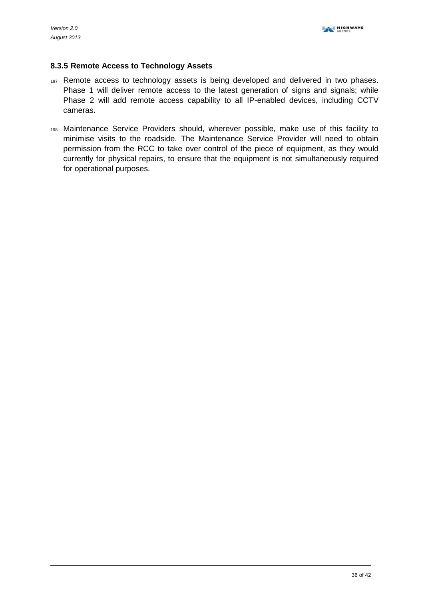# <span id="page-35-0"></span>**8.3.5 Remote Access to Technology Assets**

- 197 Remote access to technology assets is being developed and delivered in two phases. Phase 1 will deliver remote access to the latest generation of signs and signals; while Phase 2 will add remote access capability to all IP-enabled devices, including CCTV cameras.
- <sup>198</sup> Maintenance Service Providers should, wherever possible, make use of this facility to minimise visits to the roadside. The Maintenance Service Provider will need to obtain permission from the RCC to take over control of the piece of equipment, as they would currently for physical repairs, to ensure that the equipment is not simultaneously required for operational purposes.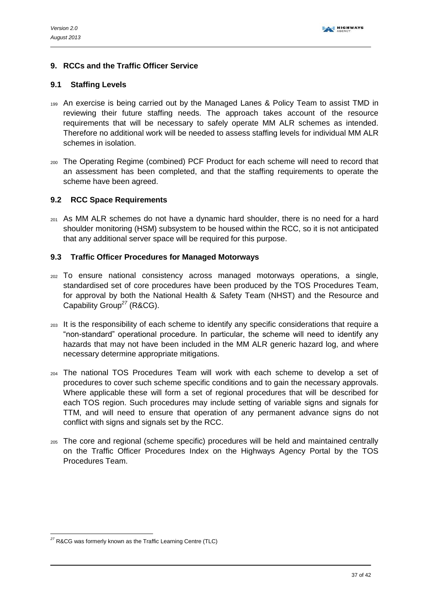# <span id="page-36-0"></span>**9. RCCs and the Traffic Officer Service**

# <span id="page-36-1"></span>**9.1 Staffing Levels**

- 199 An exercise is being carried out by the Managed Lanes & Policy Team to assist TMD in reviewing their future staffing needs. The approach takes account of the resource requirements that will be necessary to safely operate MM ALR schemes as intended. Therefore no additional work will be needed to assess staffing levels for individual MM ALR schemes in isolation.
- <sup>200</sup> The Operating Regime (combined) PCF Product for each scheme will need to record that an assessment has been completed, and that the staffing requirements to operate the scheme have been agreed.

#### <span id="page-36-2"></span>**9.2 RCC Space Requirements**

<sup>201</sup> As MM ALR schemes do not have a dynamic hard shoulder, there is no need for a hard shoulder monitoring (HSM) subsystem to be housed within the RCC, so it is not anticipated that any additional server space will be required for this purpose.

#### <span id="page-36-3"></span>**9.3 Traffic Officer Procedures for Managed Motorways**

- <sup>202</sup> To ensure national consistency across managed motorways operations, a single, standardised set of core procedures have been produced by the TOS Procedures Team, for approval by both the National Health & Safety Team (NHST) and the Resource and Capability Group*<sup>27</sup>* (R&CG).
- <sub>203</sub> It is the responsibility of each scheme to identify any specific considerations that require a "non-standard" operational procedure. In particular, the scheme will need to identify any hazards that may not have been included in the MM ALR generic hazard log, and where necessary determine appropriate mitigations.
- <sup>204</sup> The national TOS Procedures Team will work with each scheme to develop a set of procedures to cover such scheme specific conditions and to gain the necessary approvals. Where applicable these will form a set of regional procedures that will be described for each TOS region. Such procedures may include setting of variable signs and signals for TTM, and will need to ensure that operation of any permanent advance signs do not conflict with signs and signals set by the RCC.
- <sup>205</sup> The core and regional (scheme specific) procedures will be held and maintained centrally on the Traffic Officer Procedures Index on the Highways Agency Portal by the TOS Procedures Team.

*<sup>27</sup>* R&CG was formerly known as the Traffic Learning Centre (TLC)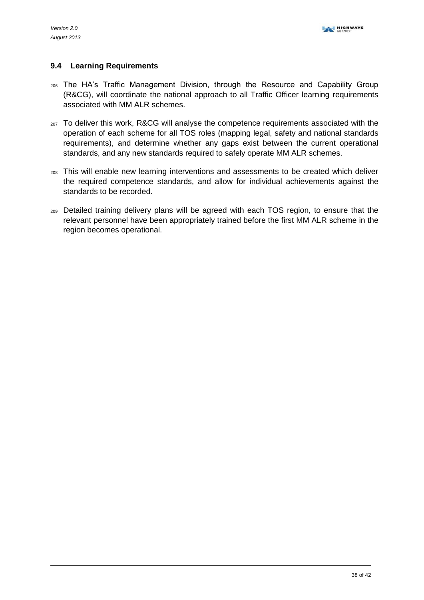# <span id="page-37-0"></span>**9.4 Learning Requirements**

- <sup>206</sup> The HA's Traffic Management Division, through the Resource and Capability Group (R&CG), will coordinate the national approach to all Traffic Officer learning requirements associated with MM ALR schemes.
- <sup>207</sup> To deliver this work, R&CG will analyse the competence requirements associated with the operation of each scheme for all TOS roles (mapping legal, safety and national standards requirements), and determine whether any gaps exist between the current operational standards, and any new standards required to safely operate MM ALR schemes.
- <sup>208</sup> This will enable new learning interventions and assessments to be created which deliver the required competence standards, and allow for individual achievements against the standards to be recorded.
- <sup>209</sup> Detailed training delivery plans will be agreed with each TOS region, to ensure that the relevant personnel have been appropriately trained before the first MM ALR scheme in the region becomes operational.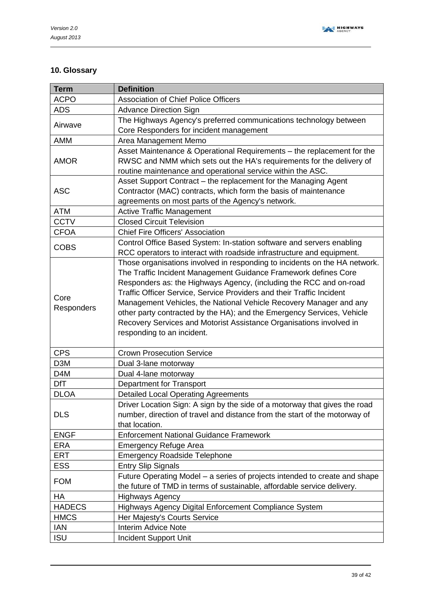# <span id="page-38-0"></span>**10. Glossary**

| <b>Term</b>      | <b>Definition</b>                                                          |
|------------------|----------------------------------------------------------------------------|
| <b>ACPO</b>      | Association of Chief Police Officers                                       |
| <b>ADS</b>       | <b>Advance Direction Sign</b>                                              |
|                  | The Highways Agency's preferred communications technology between          |
| Airwave          | Core Responders for incident management                                    |
| <b>AMM</b>       | Area Management Memo                                                       |
|                  | Asset Maintenance & Operational Requirements - the replacement for the     |
| <b>AMOR</b>      | RWSC and NMM which sets out the HA's requirements for the delivery of      |
|                  | routine maintenance and operational service within the ASC.                |
|                  | Asset Support Contract - the replacement for the Managing Agent            |
| <b>ASC</b>       | Contractor (MAC) contracts, which form the basis of maintenance            |
|                  | agreements on most parts of the Agency's network.                          |
| <b>ATM</b>       | <b>Active Traffic Management</b>                                           |
| <b>CCTV</b>      | <b>Closed Circuit Television</b>                                           |
| <b>CFOA</b>      | <b>Chief Fire Officers' Association</b>                                    |
| <b>COBS</b>      | Control Office Based System: In-station software and servers enabling      |
|                  | RCC operators to interact with roadside infrastructure and equipment.      |
|                  | Those organisations involved in responding to incidents on the HA network. |
|                  | The Traffic Incident Management Guidance Framework defines Core            |
|                  | Responders as: the Highways Agency, (including the RCC and on-road         |
| Core             | Traffic Officer Service, Service Providers and their Traffic Incident      |
| Responders       | Management Vehicles, the National Vehicle Recovery Manager and any         |
|                  | other party contracted by the HA); and the Emergency Services, Vehicle     |
|                  | Recovery Services and Motorist Assistance Organisations involved in        |
|                  | responding to an incident.                                                 |
| <b>CPS</b>       | <b>Crown Prosecution Service</b>                                           |
| D <sub>3</sub> M | Dual 3-lane motorway                                                       |
| D <sub>4</sub> M | Dual 4-lane motorway                                                       |
| <b>DfT</b>       | <b>Department for Transport</b>                                            |
| <b>DLOA</b>      | <b>Detailed Local Operating Agreements</b>                                 |
|                  | Driver Location Sign: A sign by the side of a motorway that gives the road |
| <b>DLS</b>       | number, direction of travel and distance from the start of the motorway of |
|                  | that location.                                                             |
| <b>ENGF</b>      | <b>Enforcement National Guidance Framework</b>                             |
| <b>ERA</b>       | <b>Emergency Refuge Area</b>                                               |
| <b>ERT</b>       | <b>Emergency Roadside Telephone</b>                                        |
| <b>ESS</b>       | <b>Entry Slip Signals</b>                                                  |
|                  | Future Operating Model – a series of projects intended to create and shape |
| <b>FOM</b>       | the future of TMD in terms of sustainable, affordable service delivery.    |
| HA               | <b>Highways Agency</b>                                                     |
| <b>HADECS</b>    | Highways Agency Digital Enforcement Compliance System                      |
| <b>HMCS</b>      | Her Majesty's Courts Service                                               |
| <b>IAN</b>       | <b>Interim Advice Note</b>                                                 |
| <b>ISU</b>       | <b>Incident Support Unit</b>                                               |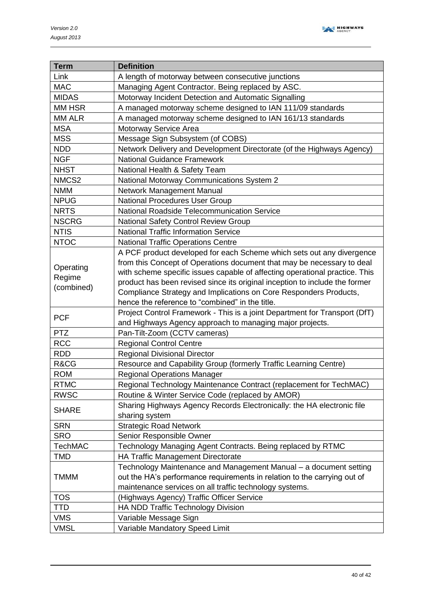

| <b>Term</b>    | <b>Definition</b>                                                           |
|----------------|-----------------------------------------------------------------------------|
| Link           | A length of motorway between consecutive junctions                          |
| <b>MAC</b>     | Managing Agent Contractor. Being replaced by ASC.                           |
| <b>MIDAS</b>   | Motorway Incident Detection and Automatic Signalling                        |
| <b>MM HSR</b>  | A managed motorway scheme designed to IAN 111/09 standards                  |
| MM ALR         | A managed motorway scheme designed to IAN 161/13 standards                  |
| <b>MSA</b>     | Motorway Service Area                                                       |
| <b>MSS</b>     | Message Sign Subsystem (of COBS)                                            |
| <b>NDD</b>     | Network Delivery and Development Directorate (of the Highways Agency)       |
| <b>NGF</b>     | <b>National Guidance Framework</b>                                          |
| <b>NHST</b>    | National Health & Safety Team                                               |
| NMCS2          | National Motorway Communications System 2                                   |
| <b>NMM</b>     | Network Management Manual                                                   |
| <b>NPUG</b>    | <b>National Procedures User Group</b>                                       |
| <b>NRTS</b>    | National Roadside Telecommunication Service                                 |
| <b>NSCRG</b>   | <b>National Safety Control Review Group</b>                                 |
| <b>NTIS</b>    | <b>National Traffic Information Service</b>                                 |
| <b>NTOC</b>    | <b>National Traffic Operations Centre</b>                                   |
|                | A PCF product developed for each Scheme which sets out any divergence       |
|                | from this Concept of Operations document that may be necessary to deal      |
| Operating      | with scheme specific issues capable of affecting operational practice. This |
| Regime         | product has been revised since its original inception to include the former |
| (combined)     | Compliance Strategy and Implications on Core Responders Products,           |
|                | hence the reference to "combined" in the title.                             |
| <b>PCF</b>     | Project Control Framework - This is a joint Department for Transport (DfT)  |
|                | and Highways Agency approach to managing major projects.                    |
| <b>PTZ</b>     | Pan-Tilt-Zoom (CCTV cameras)                                                |
| <b>RCC</b>     | <b>Regional Control Centre</b>                                              |
| <b>RDD</b>     | <b>Regional Divisional Director</b>                                         |
| R&CG           | Resource and Capability Group (formerly Traffic Learning Centre)            |
| <b>ROM</b>     | <b>Regional Operations Manager</b>                                          |
| <b>RTMC</b>    | Regional Technology Maintenance Contract (replacement for TechMAC)          |
| <b>RWSC</b>    | Routine & Winter Service Code (replaced by AMOR)                            |
| <b>SHARE</b>   | Sharing Highways Agency Records Electronically: the HA electronic file      |
|                | sharing system                                                              |
| <b>SRN</b>     | <b>Strategic Road Network</b>                                               |
| <b>SRO</b>     | Senior Responsible Owner                                                    |
| <b>TechMAC</b> | Technology Managing Agent Contracts. Being replaced by RTMC                 |
| <b>TMD</b>     | HA Traffic Management Directorate                                           |
|                | Technology Maintenance and Management Manual - a document setting           |
| <b>TMMM</b>    | out the HA's performance requirements in relation to the carrying out of    |
|                | maintenance services on all traffic technology systems.                     |
| <b>TOS</b>     | (Highways Agency) Traffic Officer Service                                   |
| <b>TTD</b>     | HA NDD Traffic Technology Division                                          |
| <b>VMS</b>     | Variable Message Sign                                                       |
| <b>VMSL</b>    | Variable Mandatory Speed Limit                                              |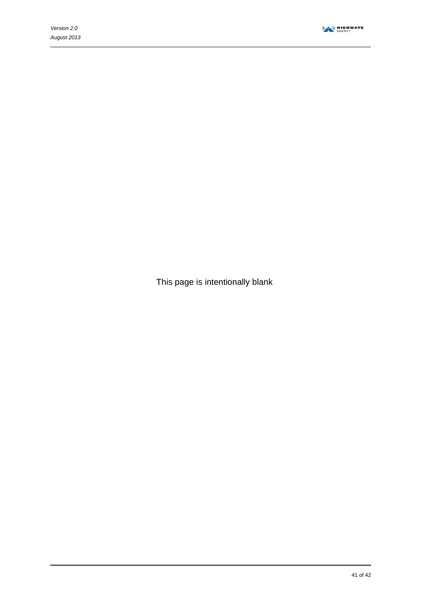

This page is intentionally blank